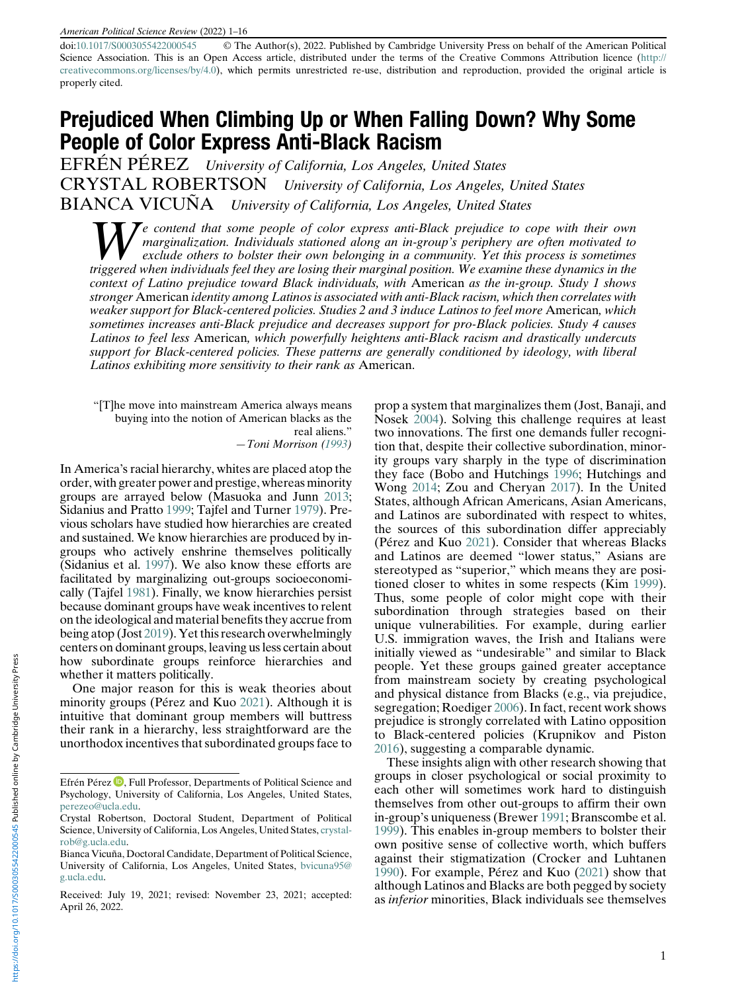#### American Political Science Review (2022) 1–16

doi:[10.1017/S0003055422000545](https://doi.org/10.1017/S0003055422000545) © The Author(s), 2022. Published by Cambridge University Press on behalf of the American Political Science Association. This is an Open Access article, distributed under the terms of the Creative Commons Attribution licence ([http://](http://creativecommons.org/licenses/by/4.0) [creativecommons.org/licenses/by/4.0\)](http://creativecommons.org/licenses/by/4.0), which permits unrestricted re-use, distribution and reproduction, provided the original article is properly cited.

# Prejudiced When Climbing Up or When Falling Down? Why Some People of Color Express Anti-Black Racism

EFRÉN PÉREZ University of California, Los Angeles, United States CRYSTAL ROBERTSON University of California, Los Angeles, United States BIANCA VICUÑA University of California, Los Angeles, United States

 $\sum e$  contend that some people of color express anti-Black prejudice to cope with their own marginalization. Individuals stationed along an in-group's periphery are often motivated to exclude others to bolster their own belonging in a community. Yet this process is sometimes triggered when individuals feel they are losing their marginal position. We examine these dynamics in the context of Latino prejudice toward Black individuals, with American as the in-group. Study 1 shows stronger American identity among Latinos is associated with anti-Black racism, which then correlates with weaker support for Black-centered policies. Studies 2 and 3 induce Latinos to feel more American, which sometimes increases anti-Black prejudice and decreases support for pro-Black policies. Study 4 causes Latinos to feel less American, which powerfully heightens anti-Black racism and drastically undercuts support for Black-centered policies. These patterns are generally conditioned by ideology, with liberal Latinos exhibiting more sensitivity to their rank as American.

"[T]he move into mainstream America always means buying into the notion of American blacks as the real aliens." —Toni Morrison ([1993\)](#page-14-0)

In America's racial hierarchy, whites are placed atop the order, with greater power and prestige, whereas minority groups are arrayed below (Masuoka and Junn [2013](#page-14-1); Sidanius and Pratto [1999](#page-15-0); Tajfel and Turner [1979](#page-15-1)). Previous scholars have studied how hierarchies are created and sustained. We know hierarchies are produced by ingroups who actively enshrine themselves politically (Sidanius et al. [1997](#page-15-2)). We also know these efforts are facilitated by marginalizing out-groups socioeconomically (Tajfel [1981\)](#page-15-3). Finally, we know hierarchies persist because dominant groups have weak incentives to relent on the ideological and material benefits they accrue from being atop (Jost [2019\)](#page-14-2). Yet this research overwhelmingly centers on dominant groups, leaving us less certain about how subordinate groups reinforce hierarchies and whether it matters politically.

One major reason for this is weak theories about minority groups (Pérez and Kuo [2021\)](#page-15-4). Although it is intuitive that dominant group members will buttress their rank in a hierarchy, less straightforward are the unorthodox incentives that subordinated groups face to

prop a system that marginalizes them (Jost, Banaji, and Nosek [2004](#page-14-3)). Solving this challenge requires at least two innovations. The first one demands fuller recognition that, despite their collective subordination, minority groups vary sharply in the type of discrimination they face (Bobo and Hutchings [1996;](#page-13-0) Hutchings and Wong [2014](#page-14-4); Zou and Cheryan [2017\)](#page-15-5). In the United States, although African Americans, Asian Americans, and Latinos are subordinated with respect to whites, the sources of this subordination differ appreciably (Pérez and Kuo [2021\)](#page-15-4). Consider that whereas Blacks and Latinos are deemed "lower status," Asians are stereotyped as "superior," which means they are positioned closer to whites in some respects (Kim [1999\)](#page-14-5). Thus, some people of color might cope with their subordination through strategies based on their unique vulnerabilities. For example, during earlier U.S. immigration waves, the Irish and Italians were initially viewed as "undesirable" and similar to Black people. Yet these groups gained greater acceptance from mainstream society by creating psychological and physical distance from Blacks (e.g., via prejudice, segregation; Roediger [2006](#page-15-6)). In fact, recent work shows prejudice is strongly correlated with Latino opposition to Black-centered policies (Krupnikov and Piston [2016\)](#page-14-6), suggesting a comparable dynamic.

These insights align with other research showing that groups in closer psychological or social proximity to each other will sometimes work hard to distinguish themselves from other out-groups to affirm their own in-group's uniqueness (Brewer [1991;](#page-13-1) Branscombe et al. [1999\)](#page-13-2). This enables in-group members to bolster their own positive sense of collective worth, which buffers against their stigmatization (Crocker and Luhtanen [1990\)](#page-14-7). For example, Pérez and Kuo ([2021](#page-15-4)) show that although Latinos and Blacks are both pegged by society as inferior minorities, Black individuals see themselves

Efrén Pérez <sup>(D</sup>[,](https://orcid.org/0000-0003-4952-5089) Full Professor, Departments of Political Science and Psychology, University of California, Los Angeles, United States, [perezeo@ucla.edu](mailto:perezeo@ucla.edu).

Crystal Robertson, Doctoral Student, Department of Political Science, University of California, Los Angeles, United States, [crystal](mailto:crystalrob@g.ucla.edu)[rob@g.ucla.edu.](mailto:crystalrob@g.ucla.edu)

Bianca Vicuña, Doctoral Candidate, Department of Political Science, University of California, Los Angeles, United States, [bvicuna95@](mailto:bvicuna95@g.ucla.edu) [g.ucla.edu.](mailto:bvicuna95@g.ucla.edu)

Received: July 19, 2021; revised: November 23, 2021; accepted: April 26, 2022.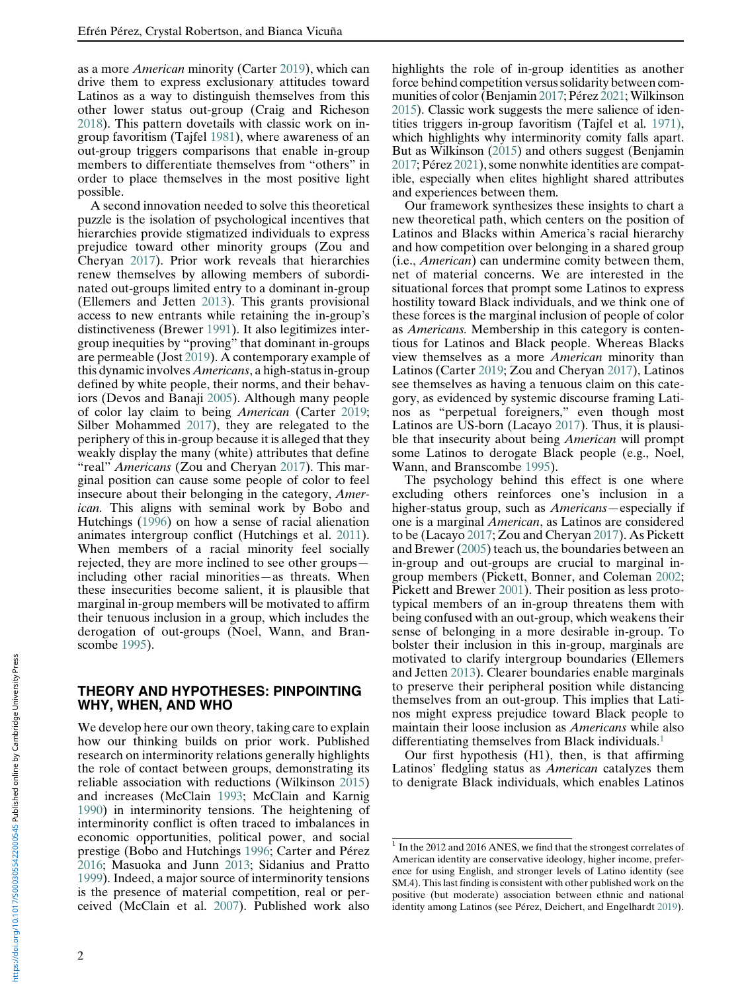as a more American minority (Carter [2019\)](#page-14-8), which can drive them to express exclusionary attitudes toward Latinos as a way to distinguish themselves from this other lower status out-group (Craig and Richeson [2018\)](#page-14-9). This pattern dovetails with classic work on ingroup favoritism (Tajfel [1981\)](#page-15-3), where awareness of an out-group triggers comparisons that enable in-group members to differentiate themselves from "others" in order to place themselves in the most positive light possible.

A second innovation needed to solve this theoretical puzzle is the isolation of psychological incentives that hierarchies provide stigmatized individuals to express prejudice toward other minority groups (Zou and Cheryan [2017](#page-15-5)). Prior work reveals that hierarchies renew themselves by allowing members of subordinated out-groups limited entry to a dominant in-group (Ellemers and Jetten [2013](#page-14-10)). This grants provisional access to new entrants while retaining the in-group's distinctiveness (Brewer [1991](#page-13-1)). It also legitimizes intergroup inequities by "proving" that dominant in-groups are permeable (Jost [2019\)](#page-14-2). A contemporary example of this dynamic involves Americans, a high-status in-group defined by white people, their norms, and their behaviors (Devos and Banaji [2005](#page-14-11)). Although many people of color lay claim to being American (Carter [2019;](#page-14-8) Silber Mohammed [2017](#page-15-7)), they are relegated to the periphery of this in-group because it is alleged that they weakly display the many (white) attributes that define "real" Americans (Zou and Cheryan [2017\)](#page-15-5). This marginal position can cause some people of color to feel insecure about their belonging in the category, American. This aligns with seminal work by Bobo and Hutchings [\(1996](#page-13-0)) on how a sense of racial alienation animates intergroup conflict (Hutchings et al. [2011\)](#page-14-12). When members of a racial minority feel socially rejected, they are more inclined to see other groups including other racial minorities—as threats. When these insecurities become salient, it is plausible that marginal in-group members will be motivated to affirm their tenuous inclusion in a group, which includes the derogation of out-groups (Noel, Wann, and Branscombe [1995](#page-14-13)).

#### THEORY AND HYPOTHESES: PINPOINTING WHY, WHEN, AND WHO

<span id="page-1-0"></span>We develop here our own theory, taking care to explain how our thinking builds on prior work. Published research on interminority relations generally highlights the role of contact between groups, demonstrating its reliable association with reductions (Wilkinson [2015](#page-15-8)) and increases (McClain [1993;](#page-14-14) McClain and Karnig [1990\)](#page-14-15) in interminority tensions. The heightening of interminority conflict is often traced to imbalances in economic opportunities, political power, and social prestige (Bobo and Hutchings [1996](#page-13-0); Carter and Pérez [2016;](#page-14-16) Masuoka and Junn [2013;](#page-14-1) Sidanius and Pratto [1999\)](#page-15-0). Indeed, a major source of interminority tensions is the presence of material competition, real or perceived (McClain et al. [2007\)](#page-14-17). Published work also

highlights the role of in-group identities as another force behind competition versus solidarity between com-munities of color (Benjamin [2017;](#page-13-3) Pérez [2021;](#page-15-2) Wilkinson [2015\)](#page-15-8). Classic work suggests the mere salience of identities triggers in-group favoritism (Tajfel et al. [1971\),](#page-15-9) which highlights why interminority comity falls apart. But as Wilkinson [\(2015\)](#page-15-8) and others suggest (Benjamin [2017;](#page-13-3) Pérez [2021](#page-15-2)), some nonwhite identities are compatible, especially when elites highlight shared attributes and experiences between them.

Our framework synthesizes these insights to chart a new theoretical path, which centers on the position of Latinos and Blacks within America's racial hierarchy and how competition over belonging in a shared group (i.e., American) can undermine comity between them, net of material concerns. We are interested in the situational forces that prompt some Latinos to express hostility toward Black individuals, and we think one of these forces is the marginal inclusion of people of color as Americans. Membership in this category is contentious for Latinos and Black people. Whereas Blacks view themselves as a more American minority than Latinos (Carter [2019](#page-14-8); Zou and Cheryan [2017](#page-15-5)), Latinos see themselves as having a tenuous claim on this category, as evidenced by systemic discourse framing Latinos as "perpetual foreigners," even though most Latinos are US-born (Lacayo [2017](#page-14-18)). Thus, it is plausible that insecurity about being American will prompt some Latinos to derogate Black people (e.g., Noel, Wann, and Branscombe [1995](#page-14-13)).

The psychology behind this effect is one where excluding others reinforces one's inclusion in a higher-status group, such as Americans—especially if one is a marginal American, as Latinos are considered to be (Lacayo [2017](#page-14-18); Zou and Cheryan [2017\)](#page-15-5). As Pickett and Brewer [\(2005](#page-15-10)) teach us, the boundaries between an in-group and out-groups are crucial to marginal ingroup members (Pickett, Bonner, and Coleman [2002;](#page-15-11) Pickett and Brewer [2001](#page-15-12)). Their position as less prototypical members of an in-group threatens them with being confused with an out-group, which weakens their sense of belonging in a more desirable in-group. To bolster their inclusion in this in-group, marginals are motivated to clarify intergroup boundaries (Ellemers and Jetten [2013\)](#page-14-10). Clearer boundaries enable marginals to preserve their peripheral position while distancing themselves from an out-group. This implies that Latinos might express prejudice toward Black people to maintain their loose inclusion as Americans while also differentiating themselves from Black individuals.<sup>[1](#page-1-0)</sup>

Our first hypothesis (H1), then, is that affirming Latinos' fledgling status as American catalyzes them to denigrate Black individuals, which enables Latinos

 $1$  In the 2012 and 2016 ANES, we find that the strongest correlates of American identity are conservative ideology, higher income, preference for using English, and stronger levels of Latino identity (see SM.4). This last finding is consistent with other published work on the positive (but moderate) association between ethnic and national identity among Latinos (see Pérez, Deichert, and Engelhardt [2019\)](#page-15-13).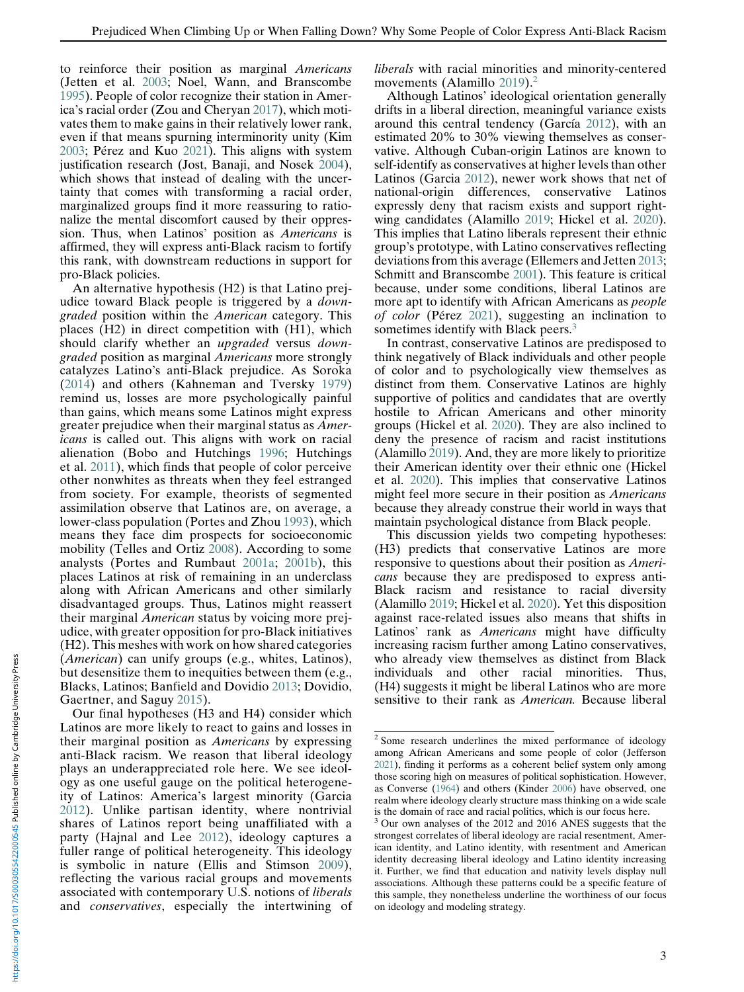to reinforce their position as marginal Americans (Jetten et al. [2003;](#page-14-16) Noel, Wann, and Branscombe [1995\)](#page-14-13). People of color recognize their station in America's racial order (Zou and Cheryan [2017](#page-15-5)), which motivates them to make gains in their relatively lower rank, even if that means spurning interminority unity (Kim [2003;](#page-14-19) Pérez and Kuo [2021](#page-15-4)). This aligns with system justification research (Jost, Banaji, and Nosek [2004\)](#page-14-3), which shows that instead of dealing with the uncertainty that comes with transforming a racial order, marginalized groups find it more reassuring to rationalize the mental discomfort caused by their oppression. Thus, when Latinos' position as Americans is affirmed, they will express anti-Black racism to fortify this rank, with downstream reductions in support for pro-Black policies.

An alternative hypothesis (H2) is that Latino prejudice toward Black people is triggered by a downgraded position within the American category. This places (H2) in direct competition with (H1), which should clarify whether an *upgraded* versus *down*graded position as marginal Americans more strongly catalyzes Latino's anti-Black prejudice. As Soroka ([2014](#page-15-14)) and others (Kahneman and Tversky [1979](#page-14-9)) remind us, losses are more psychologically painful than gains, which means some Latinos might express greater prejudice when their marginal status as Americans is called out. This aligns with work on racial alienation (Bobo and Hutchings [1996](#page-13-0); Hutchings et al. [2011\)](#page-14-12), which finds that people of color perceive other nonwhites as threats when they feel estranged from society. For example, theorists of segmented assimilation observe that Latinos are, on average, a lower-class population (Portes and Zhou [1993\)](#page-15-15), which means they face dim prospects for socioeconomic mobility (Telles and Ortiz [2008\)](#page-15-16). According to some analysts (Portes and Rumbaut [2001a](#page-15-17); [2001b](#page-15-18)), this places Latinos at risk of remaining in an underclass along with African Americans and other similarly disadvantaged groups. Thus, Latinos might reassert their marginal American status by voicing more prejudice, with greater opposition for pro-Black initiatives (H2). This meshes with work on how shared categories (American) can unify groups (e.g., whites, Latinos), but desensitize them to inequities between them (e.g., Blacks, Latinos; Banfield and Dovidio [2013;](#page-13-4) Dovidio, Gaertner, and Saguy [2015\)](#page-14-20).

<span id="page-2-1"></span><span id="page-2-0"></span>Our final hypotheses (H3 and H4) consider which Latinos are more likely to react to gains and losses in their marginal position as Americans by expressing anti-Black racism. We reason that liberal ideology plays an underappreciated role here. We see ideology as one useful gauge on the political heterogeneity of Latinos: America's largest minority (Garcia [2012](#page-14-21)). Unlike partisan identity, where nontrivial shares of Latinos report being unaffiliated with a party (Hajnal and Lee [2012\)](#page-14-22), ideology captures a fuller range of political heterogeneity. This ideology is symbolic in nature (Ellis and Stimson [2009\)](#page-14-23), reflecting the various racial groups and movements associated with contemporary U.S. notions of liberals and conservatives, especially the intertwining of liberals with racial minorities and minority-centered movements (Alamillo [2019\)](#page-13-5).<sup>[2](#page-2-0)</sup>

Although Latinos' ideological orientation generally drifts in a liberal direction, meaningful variance exists around this central tendency (García [2012\)](#page-14-21), with an estimated 20% to 30% viewing themselves as conservative. Although Cuban-origin Latinos are known to self-identify as conservatives at higher levels than other Latinos (Garcia [2012](#page-14-21)), newer work shows that net of national-origin differences, conservative Latinos expressly deny that racism exists and support rightwing candidates (Alamillo [2019](#page-13-5); Hickel et al. [2020\)](#page-14-24). This implies that Latino liberals represent their ethnic group's prototype, with Latino conservatives reflecting deviations from this average (Ellemers and Jetten [2013;](#page-14-10) Schmitt and Branscombe [2001\)](#page-15-19). This feature is critical because, under some conditions, liberal Latinos are more apt to identify with African Americans as people of color (Pérez [2021](#page-15-2)), suggesting an inclination to sometimes identify with Black peers.<sup>[3](#page-2-1)</sup>

In contrast, conservative Latinos are predisposed to think negatively of Black individuals and other people of color and to psychologically view themselves as distinct from them. Conservative Latinos are highly supportive of politics and candidates that are overtly hostile to African Americans and other minority groups (Hickel et al. [2020\)](#page-14-24). They are also inclined to deny the presence of racism and racist institutions (Alamillo [2019\)](#page-13-5). And, they are more likely to prioritize their American identity over their ethnic one (Hickel et al. [2020](#page-14-24)). This implies that conservative Latinos might feel more secure in their position as Americans because they already construe their world in ways that maintain psychological distance from Black people.

This discussion yields two competing hypotheses: (H3) predicts that conservative Latinos are more responsive to questions about their position as Americans because they are predisposed to express anti-Black racism and resistance to racial diversity (Alamillo [2019;](#page-13-5) Hickel et al. [2020](#page-14-24)). Yet this disposition against race-related issues also means that shifts in Latinos' rank as *Americans* might have difficulty increasing racism further among Latino conservatives, who already view themselves as distinct from Black individuals and other racial minorities. Thus, (H4) suggests it might be liberal Latinos who are more sensitive to their rank as American. Because liberal

<sup>&</sup>lt;sup>2</sup> Some research underlines the mixed performance of ideology among African Americans and some people of color (Jefferson [2021\)](#page-14-8), finding it performs as a coherent belief system only among those scoring high on measures of political sophistication. However, as Converse ([1964\)](#page-14-25) and others (Kinder [2006](#page-14-26)) have observed, one realm where ideology clearly structure mass thinking on a wide scale is the domain of race and racial politics, which is our focus here.

<sup>&</sup>lt;sup>3</sup> Our own analyses of the 2012 and 2016 ANES suggests that the strongest correlates of liberal ideology are racial resentment, American identity, and Latino identity, with resentment and American identity decreasing liberal ideology and Latino identity increasing it. Further, we find that education and nativity levels display null associations. Although these patterns could be a specific feature of this sample, they nonetheless underline the worthiness of our focus on ideology and modeling strategy.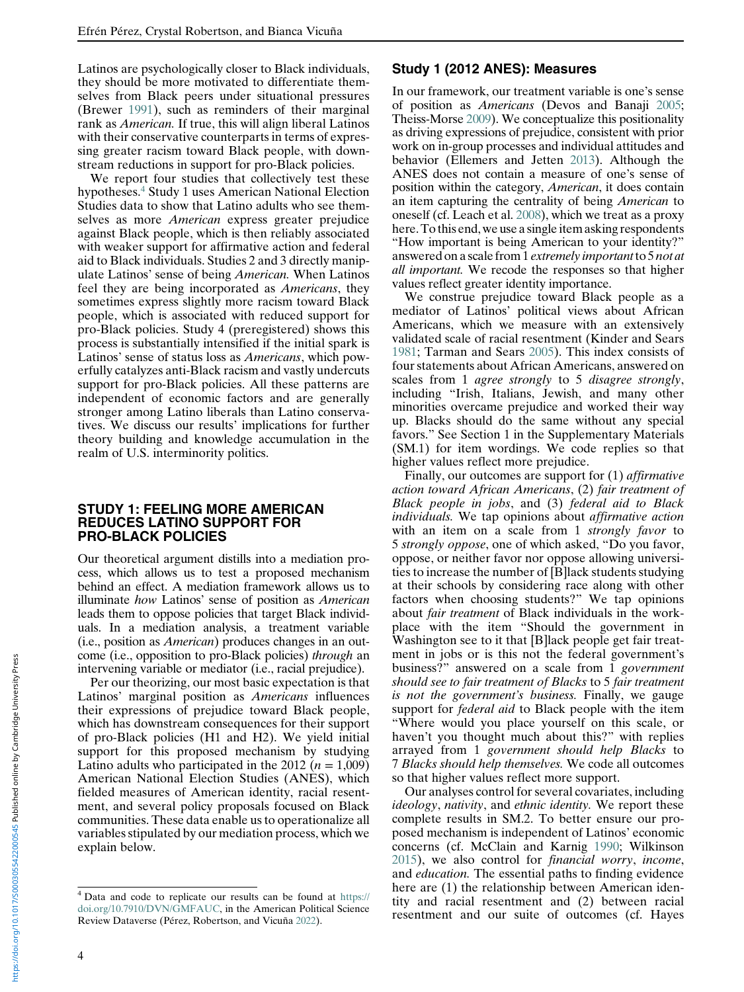Latinos are psychologically closer to Black individuals, they should be more motivated to differentiate themselves from Black peers under situational pressures (Brewer [1991](#page-13-1)), such as reminders of their marginal rank as American. If true, this will align liberal Latinos with their conservative counterparts in terms of expressing greater racism toward Black people, with downstream reductions in support for pro-Black policies.

We report four studies that collectively test these hypotheses[.4](#page-3-0) Study 1 uses American National Election Studies data to show that Latino adults who see themselves as more American express greater prejudice against Black people, which is then reliably associated with weaker support for affirmative action and federal aid to Black individuals. Studies 2 and 3 directly manipulate Latinos' sense of being American. When Latinos feel they are being incorporated as Americans, they sometimes express slightly more racism toward Black people, which is associated with reduced support for pro-Black policies. Study 4 (preregistered) shows this process is substantially intensified if the initial spark is Latinos' sense of status loss as Americans, which powerfully catalyzes anti-Black racism and vastly undercuts support for pro-Black policies. All these patterns are independent of economic factors and are generally stronger among Latino liberals than Latino conservatives. We discuss our results' implications for further theory building and knowledge accumulation in the realm of U.S. interminority politics.

#### STUDY 1: FEELING MORE AMERICAN REDUCES LATINO SUPPORT FOR PRO-BLACK POLICIES

Our theoretical argument distills into a mediation process, which allows us to test a proposed mechanism behind an effect. A mediation framework allows us to illuminate how Latinos' sense of position as American leads them to oppose policies that target Black individuals. In a mediation analysis, a treatment variable (i.e., position as American) produces changes in an outcome (i.e., opposition to pro-Black policies) through an intervening variable or mediator (i.e., racial prejudice).

Per our theorizing, our most basic expectation is that Latinos' marginal position as Americans influences their expressions of prejudice toward Black people, which has downstream consequences for their support of pro-Black policies (H1 and H2). We yield initial support for this proposed mechanism by studying Latino adults who participated in the 2012 ( $n = 1,009$ ) American National Election Studies (ANES), which fielded measures of American identity, racial resentment, and several policy proposals focused on Black communities. These data enable us to operationalize all variables stipulated by our mediation process, which we explain below.

## Study 1 (2012 ANES): Measures

In our framework, our treatment variable is one's sense of position as Americans (Devos and Banaji [2005;](#page-14-11) Theiss-Morse [2009\)](#page-15-20). We conceptualize this positionality as driving expressions of prejudice, consistent with prior work on in-group processes and individual attitudes and behavior (Ellemers and Jetten [2013\)](#page-14-10). Although the ANES does not contain a measure of one's sense of position within the category, American, it does contain an item capturing the centrality of being American to oneself (cf. Leach et al. [2008\)](#page-14-27), which we treat as a proxy here.To this end, we use a single item asking respondents "How important is being American to your identity?" answered on a scale from 1 *extremely important* to 5 *not at* all important. We recode the responses so that higher values reflect greater identity importance.

We construe prejudice toward Black people as a mediator of Latinos' political views about African Americans, which we measure with an extensively validated scale of racial resentment (Kinder and Sears [1981;](#page-14-28) Tarman and Sears [2005](#page-15-21)). This index consists of four statements about African Americans, answered on scales from 1 *agree strongly* to 5 *disagree strongly*, including "Irish, Italians, Jewish, and many other minorities overcame prejudice and worked their way up. Blacks should do the same without any special favors." See Section 1 in the Supplementary Materials (SM.1) for item wordings. We code replies so that higher values reflect more prejudice.

Finally, our outcomes are support for (1) affirmative action toward African Americans, (2) fair treatment of Black people in jobs, and (3) federal aid to Black individuals. We tap opinions about affirmative action with an item on a scale from 1 strongly favor to 5 strongly oppose, one of which asked, "Do you favor, oppose, or neither favor nor oppose allowing universities to increase the number of [B]lack students studying at their schools by considering race along with other factors when choosing students?" We tap opinions about fair treatment of Black individuals in the workplace with the item "Should the government in Washington see to it that [B]lack people get fair treatment in jobs or is this not the federal government's business?" answered on a scale from 1 government should see to fair treatment of Blacks to 5 fair treatment is not the government's business. Finally, we gauge support for *federal aid* to Black people with the item "Where would you place yourself on this scale, or haven't you thought much about this?" with replies arrayed from 1 government should help Blacks to 7 Blacks should help themselves. We code all outcomes so that higher values reflect more support.

Our analyses control for several covariates, including ideology, nativity, and ethnic identity. We report these complete results in SM.2. To better ensure our proposed mechanism is independent of Latinos' economic concerns (cf. McClain and Karnig [1990](#page-14-15); Wilkinson [2015\)](#page-15-8), we also control for financial worry, income, and education. The essential paths to finding evidence here are (1) the relationship between American identity and racial resentment and (2) between racial resentment and our suite of outcomes (cf. Hayes

nttps://doi.org/10.1017/S0003055422000545 Published online by Cambridge University Press https://doi.org/10.1017/S0003055422000545 Published online by Cambridge University Press

<span id="page-3-0"></span><sup>4</sup> Data and code to replicate our results can be found at [https://](https://doi.org/10.7910/DVN/GMFAUC) [doi.org/10.7910/DVN/GMFAUC](https://doi.org/10.7910/DVN/GMFAUC), in the American Political Science Review Dataverse (Pérez, Robertson, and Vicuña [2022](#page-14-0)).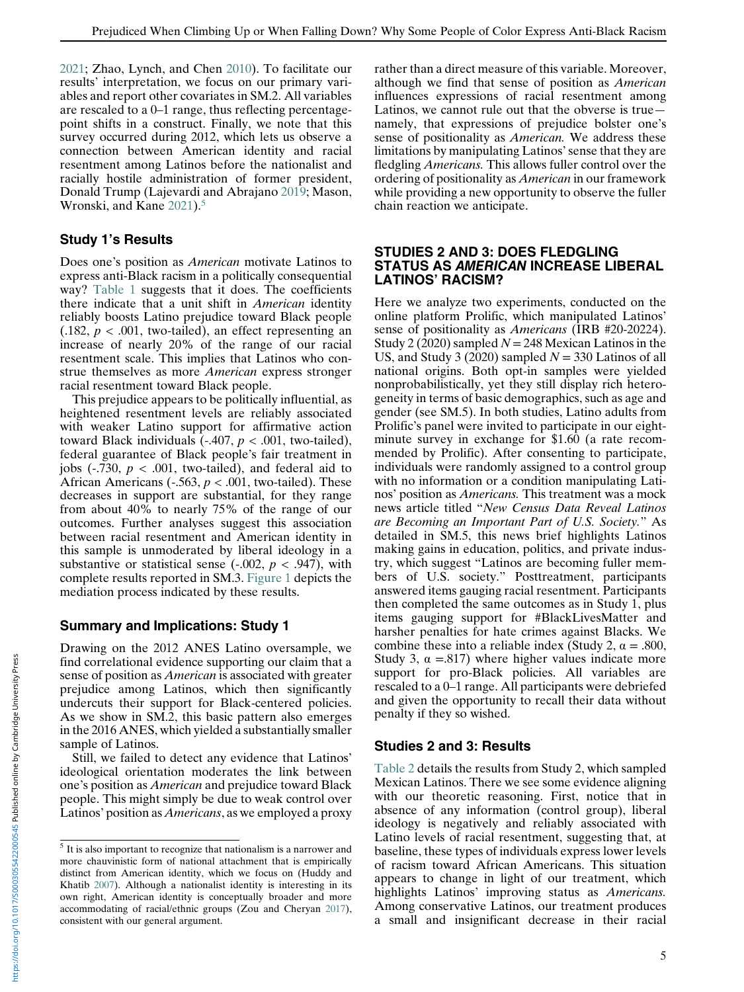[2021;](#page-14-29) Zhao, Lynch, and Chen [2010\)](#page-15-22). To facilitate our results' interpretation, we focus on our primary variables and report other covariates in SM.2. All variables are rescaled to a 0–1 range, thus reflecting percentagepoint shifts in a construct. Finally, we note that this survey occurred during 2012, which lets us observe a connection between American identity and racial resentment among Latinos before the nationalist and racially hostile administration of former president, Donald Trump (Lajevardi and Abrajano [2019](#page-14-30); Mason, Wronski, and Kane [2021](#page-14-31)).<sup>[5](#page-4-0)</sup>

# Study 1's Results

Does one's position as American motivate Latinos to express anti-Black racism in a politically consequential way? [Table 1](#page-5-0) suggests that it does. The coefficients there indicate that a unit shift in American identity reliably boosts Latino prejudice toward Black people  $(.182, p < .001,$  two-tailed), an effect representing an increase of nearly 20% of the range of our racial resentment scale. This implies that Latinos who construe themselves as more American express stronger racial resentment toward Black people.

This prejudice appears to be politically influential, as heightened resentment levels are reliably associated with weaker Latino support for affirmative action toward Black individuals  $(-.407, p < .001,$  two-tailed), federal guarantee of Black people's fair treatment in jobs ( $-730$ ,  $p < .001$ , two-tailed), and federal aid to African Americans (-.563,  $p < .001$ , two-tailed). These decreases in support are substantial, for they range from about 40% to nearly 75% of the range of our outcomes. Further analyses suggest this association between racial resentment and American identity in this sample is unmoderated by liberal ideology in a substantive or statistical sense (-.002,  $p < .947$ ), with complete results reported in SM.3. [Figure 1](#page-6-0) depicts the mediation process indicated by these results.

# Summary and Implications: Study 1

Drawing on the 2012 ANES Latino oversample, we find correlational evidence supporting our claim that a sense of position as *American* is associated with greater prejudice among Latinos, which then significantly undercuts their support for Black-centered policies. As we show in SM.2, this basic pattern also emerges in the 2016 ANES, which yielded a substantially smaller sample of Latinos.

Still, we failed to detect any evidence that Latinos' ideological orientation moderates the link between one's position as American and prejudice toward Black people. This might simply be due to weak control over Latinos' position as Americans, as we employed a proxy

rather than a direct measure of this variable. Moreover, although we find that sense of position as American influences expressions of racial resentment among Latinos, we cannot rule out that the obverse is true namely, that expressions of prejudice bolster one's sense of positionality as *American*. We address these limitations by manipulating Latinos'sense that they are fledgling Americans. This allows fuller control over the ordering of positionality as American in our framework while providing a new opportunity to observe the fuller chain reaction we anticipate.

#### STUDIES 2 AND 3: DOES FLEDGLING STATUS AS AMERICAN INCREASE LIBERAL LATINOS' RACISM?

Here we analyze two experiments, conducted on the online platform Prolific, which manipulated Latinos' sense of positionality as *Americans* (IRB #20-20224). Study 2 (2020) sampled  $N = 248$  Mexican Latinos in the US, and Study 3 (2020) sampled  $N = 330$  Latinos of all national origins. Both opt-in samples were yielded nonprobabilistically, yet they still display rich heterogeneity in terms of basic demographics, such as age and gender (see SM.5). In both studies, Latino adults from Prolific's panel were invited to participate in our eightminute survey in exchange for \$1.60 (a rate recommended by Prolific). After consenting to participate, individuals were randomly assigned to a control group with no information or a condition manipulating Latinos' position as Americans. This treatment was a mock news article titled "New Census Data Reveal Latinos are Becoming an Important Part of U.S. Society." As detailed in SM.5, this news brief highlights Latinos making gains in education, politics, and private industry, which suggest "Latinos are becoming fuller members of U.S. society." Posttreatment, participants answered items gauging racial resentment. Participants then completed the same outcomes as in Study 1, plus items gauging support for #BlackLivesMatter and harsher penalties for hate crimes against Blacks. We combine these into a reliable index (Study 2,  $\alpha = .800$ , Study 3,  $\alpha = 0.817$ ) where higher values indicate more support for pro-Black policies. All variables are rescaled to a 0–1 range. All participants were debriefed and given the opportunity to recall their data without penalty if they so wished.

# Studies 2 and 3: Results

[Table 2](#page-7-0) details the results from Study 2, which sampled Mexican Latinos. There we see some evidence aligning with our theoretic reasoning. First, notice that in absence of any information (control group), liberal ideology is negatively and reliably associated with Latino levels of racial resentment, suggesting that, at baseline, these types of individuals express lower levels of racism toward African Americans. This situation appears to change in light of our treatment, which highlights Latinos' improving status as Americans. Among conservative Latinos, our treatment produces a small and insignificant decrease in their racial

<span id="page-4-0"></span> $<sup>5</sup>$  It is also important to recognize that nationalism is a narrower and</sup> more chauvinistic form of national attachment that is empirically distinct from American identity, which we focus on (Huddy and Khatib [2007](#page-14-32)). Although a nationalist identity is interesting in its own right, American identity is conceptually broader and more accommodating of racial/ethnic groups (Zou and Cheryan [2017\)](#page-15-5), consistent with our general argument.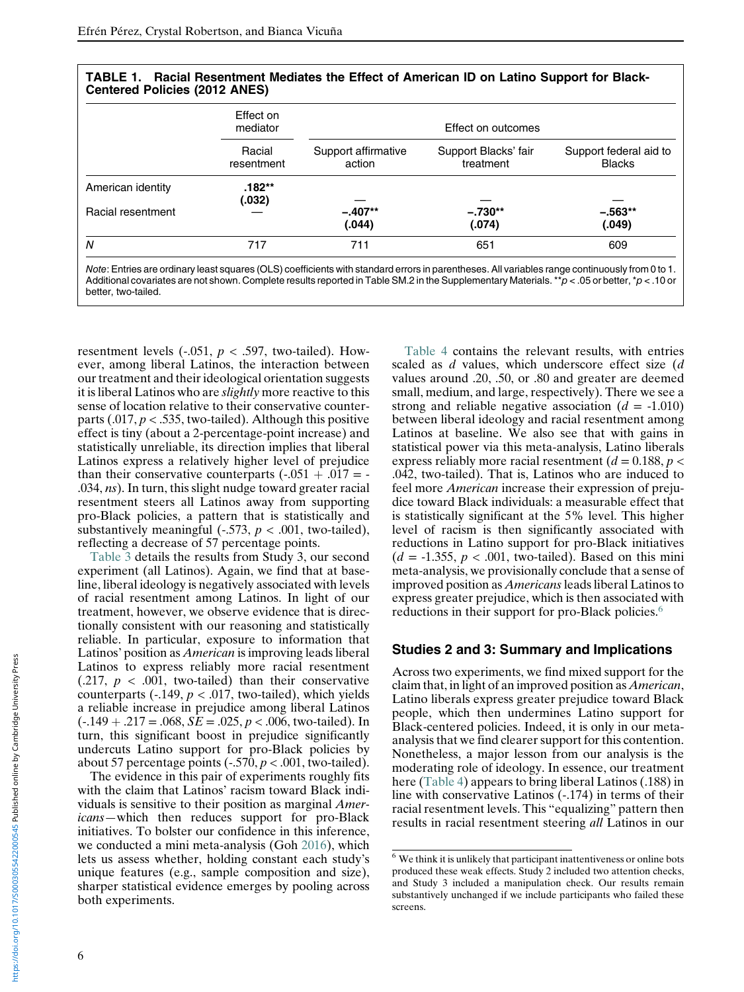<span id="page-5-0"></span>

|                   | Effect on<br>mediator<br>Racial<br>resentment | Effect on outcomes            |                                   |                                         |
|-------------------|-----------------------------------------------|-------------------------------|-----------------------------------|-----------------------------------------|
|                   |                                               | Support affirmative<br>action | Support Blacks' fair<br>treatment | Support federal aid to<br><b>Blacks</b> |
| American identity | .182**<br>(.032)                              |                               |                                   |                                         |
| Racial resentment |                                               | $-.407**$<br>(.044)           | $-.730**$<br>(.074)               | $-.563**$<br>(.049)                     |
| Ν                 | 717                                           | 711                           | 651                               | 609                                     |

TABLE 1. Racial Resentment Mediates the Effect of American ID on Latino Support for Black-Centered Policies (2012 ANES)

Note: Entries are ordinary least squares (OLS) coefficients with standard errors in parentheses. All variables range continuously from 0 to 1. Additional covariates are not shown. Complete results reported in Table SM.2 in the Supplementary Materials. \*\*p < .05 or better, \*p < .10 or better, two-tailed.

resentment levels  $(-.051, p < .597,$  two-tailed). However, among liberal Latinos, the interaction between our treatment and their ideological orientation suggests it is liberal Latinos who are *slightly* more reactive to this sense of location relative to their conservative counterparts (.017,  $p < .535$ , two-tailed). Although this positive effect is tiny (about a 2-percentage-point increase) and statistically unreliable, its direction implies that liberal Latinos express a relatively higher level of prejudice than their conservative counterparts  $(-.051 + .017) = -$ .034, ns). In turn, this slight nudge toward greater racial resentment steers all Latinos away from supporting pro-Black policies, a pattern that is statistically and substantively meaningful  $(-.573, p < .001,$  two-tailed), reflecting a decrease of 57 percentage points.

[Table 3](#page-7-1) details the results from Study 3, our second experiment (all Latinos). Again, we find that at baseline, liberal ideology is negatively associated with levels of racial resentment among Latinos. In light of our treatment, however, we observe evidence that is directionally consistent with our reasoning and statistically reliable. In particular, exposure to information that Latinos' position as American is improving leads liberal Latinos to express reliably more racial resentment  $(0.217, p < 0.001,$  two-tailed) than their conservative counterparts (-.149,  $p < .017$ , two-tailed), which yields a reliable increase in prejudice among liberal Latinos  $(-.149 + .217 = .068, \overline{SE} = .025, p < .006,$  two-tailed). In turn, this significant boost in prejudice significantly undercuts Latino support for pro-Black policies by about 57 percentage points  $(-.570, p < .001,$  two-tailed).

<span id="page-5-1"></span>The evidence in this pair of experiments roughly fits with the claim that Latinos' racism toward Black individuals is sensitive to their position as marginal Americans—which then reduces support for pro-Black initiatives. To bolster our confidence in this inference, we conducted a mini meta-analysis (Goh [2016\)](#page-14-33), which lets us assess whether, holding constant each study's unique features (e.g., sample composition and size), sharper statistical evidence emerges by pooling across both experiments.

[Table 4](#page-7-2) contains the relevant results, with entries scaled as  $d$  values, which underscore effect size  $(d)$ values around .20, .50, or .80 and greater are deemed small, medium, and large, respectively). There we see a strong and reliable negative association  $(d = -1.010)$ between liberal ideology and racial resentment among Latinos at baseline. We also see that with gains in statistical power via this meta-analysis, Latino liberals express reliably more racial resentment ( $d = 0.188$ ,  $p <$ .042, two-tailed). That is, Latinos who are induced to feel more American increase their expression of prejudice toward Black individuals: a measurable effect that is statistically significant at the 5% level. This higher level of racism is then significantly associated with reductions in Latino support for pro-Black initiatives  $(d = -1.355, p < .001,$  two-tailed). Based on this mini meta-analysis, we provisionally conclude that a sense of improved position as *Americans* leads liberal Latinos to express greater prejudice, which is then associated with reductions in their support for pro-Black policies.<sup>[6](#page-5-1)</sup>

#### Studies 2 and 3: Summary and Implications

Across two experiments, we find mixed support for the claim that, in light of an improved position as American, Latino liberals express greater prejudice toward Black people, which then undermines Latino support for Black-centered policies. Indeed, it is only in our metaanalysis that we find clearer support for this contention. Nonetheless, a major lesson from our analysis is the moderating role of ideology. In essence, our treatment here [\(Table 4](#page-7-2)) appears to bring liberal Latinos (.188) in line with conservative Latinos (-.174) in terms of their racial resentment levels. This "equalizing" pattern then results in racial resentment steering all Latinos in our

<sup>&</sup>lt;sup>6</sup> We think it is unlikely that participant inattentiveness or online bots produced these weak effects. Study 2 included two attention checks, and Study 3 included a manipulation check. Our results remain substantively unchanged if we include participants who failed these screens.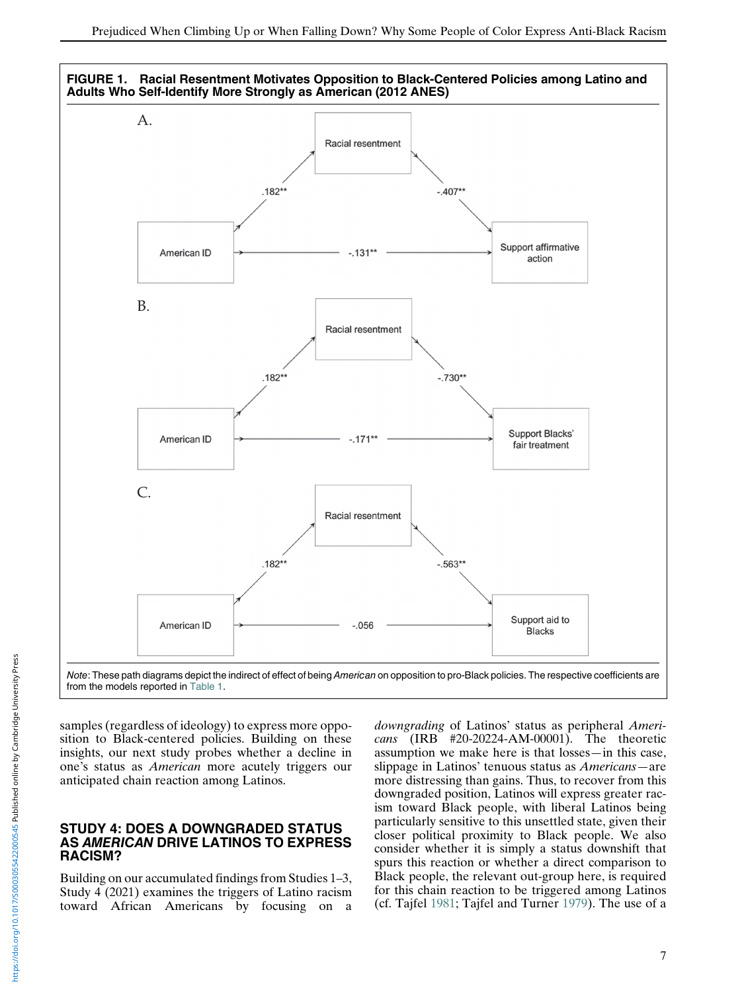<span id="page-6-0"></span>

from the models reported in [Table 1.](#page-5-0)

samples (regardless of ideology) to express more opposition to Black-centered policies. Building on these insights, our next study probes whether a decline in one's status as American more acutely triggers our anticipated chain reaction among Latinos.

#### STUDY 4: DOES A DOWNGRADED STATUS AS AMERICAN DRIVE LATINOS TO EXPRESS RACISM?

Building on our accumulated findings from Studies 1–3, Study 4 (2021) examines the triggers of Latino racism toward African Americans by focusing on a downgrading of Latinos' status as peripheral Americans (IRB #20-20224-AM-00001). The theoretic assumption we make here is that losses—in this case, slippage in Latinos' tenuous status as Americans—are more distressing than gains. Thus, to recover from this downgraded position, Latinos will express greater racism toward Black people, with liberal Latinos being particularly sensitive to this unsettled state, given their closer political proximity to Black people. We also consider whether it is simply a status downshift that spurs this reaction or whether a direct comparison to Black people, the relevant out-group here, is required for this chain reaction to be triggered among Latinos (cf. Tajfel [1981;](#page-15-3) Tajfel and Turner [1979](#page-15-1)). The use of a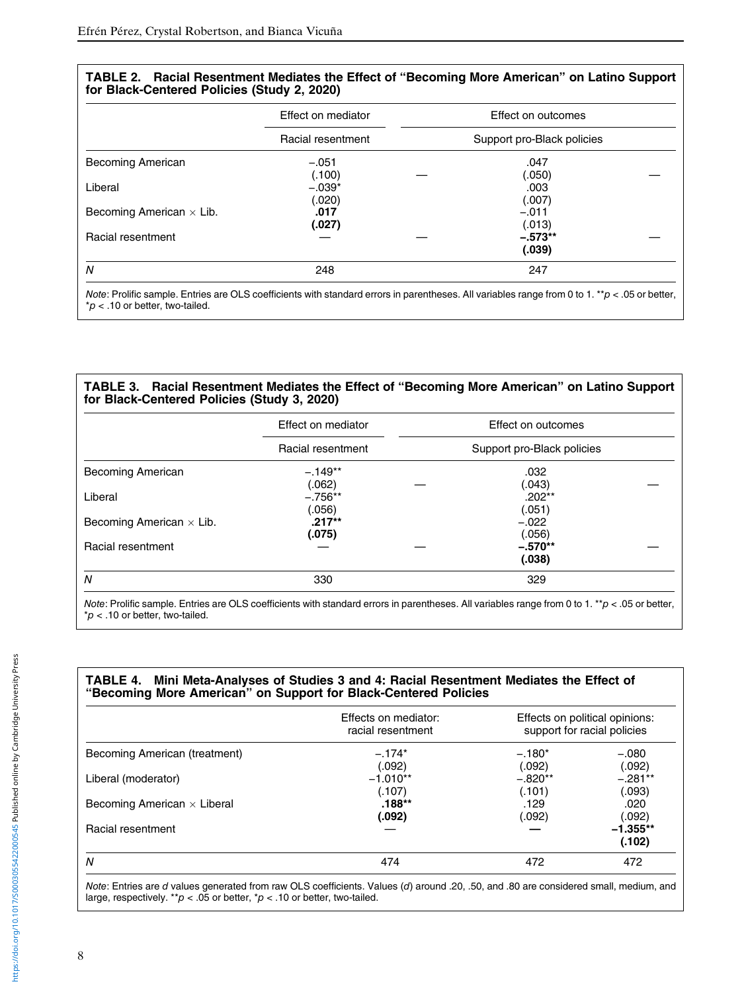<span id="page-7-0"></span>

| Effect on mediator |                            | Effect on outcomes  |                      |
|--------------------|----------------------------|---------------------|----------------------|
| Racial resentment  | Support pro-Black policies |                     |                      |
| $-.051$            |                            | .047                |                      |
| $-.039*$           |                            | .003                |                      |
| (.020)<br>.017     |                            | (.007)<br>$-.011$   |                      |
| (.027)             |                            | (.013)<br>$-.573**$ |                      |
|                    |                            | (.039)              |                      |
|                    | (.100)                     |                     | (.050)<br>248<br>247 |

TABLE 2. Racial Resentment Mediates the Effect of "Becoming More American" on Latino Support

Note: Prolific sample. Entries are OLS coefficients with standard errors in parentheses. All variables range from 0 to 1. \*\*p < .05 or better,  $p$  < .10 or better, two-tailed.

#### <span id="page-7-1"></span>TABLE 3. Racial Resentment Mediates the Effect of "Becoming More American" on Latino Support for Black-Centered Policies (Study 3, 2020)

|                                 | Effect on mediator  |                            | Effect on outcomes            |  |
|---------------------------------|---------------------|----------------------------|-------------------------------|--|
|                                 | Racial resentment   | Support pro-Black policies |                               |  |
| Becoming American               | $-.149**$           |                            | .032                          |  |
| Liberal                         | (.062)<br>$-.756**$ |                            | (.043)<br>$.202***$           |  |
| Becoming American $\times$ Lib. | (.056)<br>$.217**$  |                            | (.051)<br>$-.022$             |  |
| Racial resentment               | (.075)              |                            | (.056)<br>$-.570**$<br>(.038) |  |
| N                               | 330                 |                            | 329                           |  |

Note: Prolific sample. Entries are OLS coefficients with standard errors in parentheses. All variables range from 0 to 1. \*\*p < .05 or better,  $p$  < .10 or better, two-tailed.

### <span id="page-7-2"></span>TABLE 4. Mini Meta-Analyses of Studies 3 and 4: Racial Resentment Mediates the Effect of "Becoming More American" on Support for Black-Centered Policies

|                                    | Effects on mediator:<br>racial resentment |           | Effects on political opinions:<br>support for racial policies |
|------------------------------------|-------------------------------------------|-----------|---------------------------------------------------------------|
| Becoming American (treatment)      | $-.174*$                                  | $-.180*$  | $-.080$                                                       |
|                                    | (.092)                                    | (.092)    | (.092)                                                        |
| Liberal (moderator)                | $-1.010**$                                | $-.820**$ | $-.281***$                                                    |
|                                    | (.107)                                    | (.101)    | (.093)                                                        |
| Becoming American $\times$ Liberal | $.188**$                                  | .129      | .020                                                          |
|                                    | (.092)                                    | (.092)    | (.092)                                                        |
| Racial resentment                  |                                           |           | $-1.355**$                                                    |
|                                    |                                           |           | (.102)                                                        |
| N                                  | 474                                       | 472       | 472                                                           |

Note: Entries are d values generated from raw OLS coefficients. Values (d) around .20, .50, and .80 are considered small, medium, and large, respectively. \*\* $p < .05$  or better, \* $p < .10$  or better, two-tailed.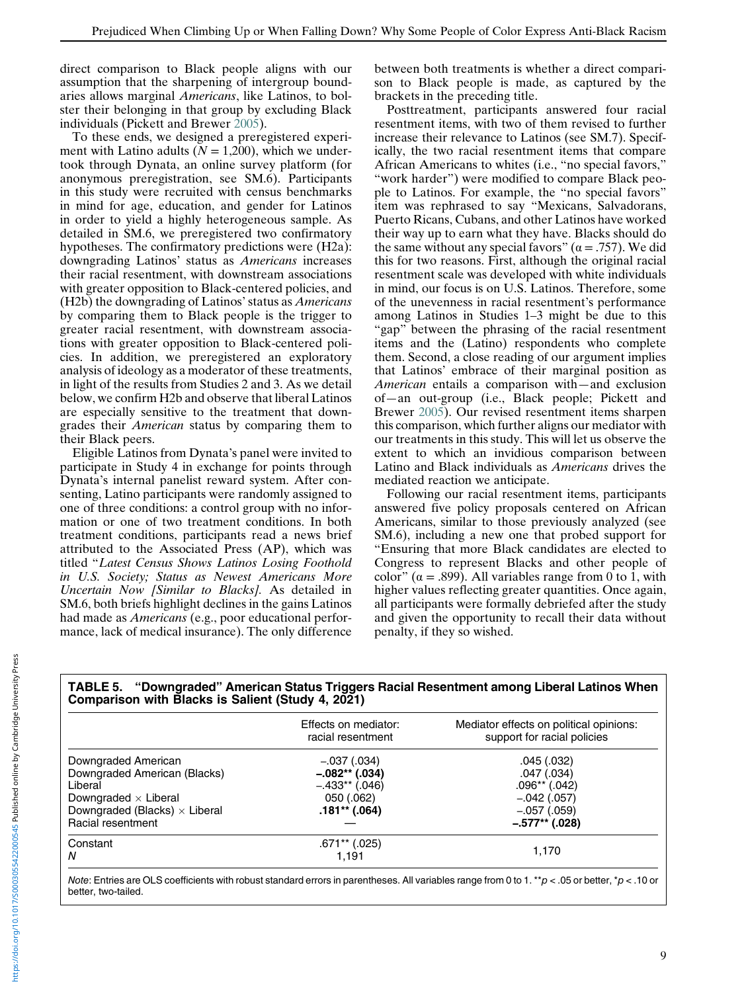direct comparison to Black people aligns with our assumption that the sharpening of intergroup boundaries allows marginal Americans, like Latinos, to bolster their belonging in that group by excluding Black individuals (Pickett and Brewer [2005\)](#page-15-10).

To these ends, we designed a preregistered experiment with Latino adults ( $N = 1,200$ ), which we undertook through Dynata, an online survey platform (for anonymous preregistration, see SM.6). Participants in this study were recruited with census benchmarks in mind for age, education, and gender for Latinos in order to yield a highly heterogeneous sample. As detailed in SM.6, we preregistered two confirmatory hypotheses. The confirmatory predictions were (H2a): downgrading Latinos' status as Americans increases their racial resentment, with downstream associations with greater opposition to Black-centered policies, and (H2b) the downgrading of Latinos' status as Americans by comparing them to Black people is the trigger to greater racial resentment, with downstream associations with greater opposition to Black-centered policies. In addition, we preregistered an exploratory analysis of ideology as a moderator of these treatments, in light of the results from Studies 2 and 3. As we detail below, we confirm H2b and observe that liberal Latinos are especially sensitive to the treatment that downgrades their American status by comparing them to their Black peers.

Eligible Latinos from Dynata's panel were invited to participate in Study 4 in exchange for points through Dynata's internal panelist reward system. After consenting, Latino participants were randomly assigned to one of three conditions: a control group with no information or one of two treatment conditions. In both treatment conditions, participants read a news brief attributed to the Associated Press (AP), which was titled "Latest Census Shows Latinos Losing Foothold in U.S. Society; Status as Newest Americans More Uncertain Now [Similar to Blacks]. As detailed in SM.6, both briefs highlight declines in the gains Latinos had made as Americans (e.g., poor educational performance, lack of medical insurance). The only difference

between both treatments is whether a direct comparison to Black people is made, as captured by the brackets in the preceding title.

Posttreatment, participants answered four racial resentment items, with two of them revised to further increase their relevance to Latinos (see SM.7). Specifically, the two racial resentment items that compare African Americans to whites (i.e., "no special favors," "work harder") were modified to compare Black people to Latinos. For example, the "no special favors" item was rephrased to say "Mexicans, Salvadorans, Puerto Ricans, Cubans, and other Latinos have worked their way up to earn what they have. Blacks should do the same without any special favors" ( $\alpha = .757$ ). We did this for two reasons. First, although the original racial resentment scale was developed with white individuals in mind, our focus is on U.S. Latinos. Therefore, some of the unevenness in racial resentment's performance among Latinos in Studies 1–3 might be due to this "gap" between the phrasing of the racial resentment items and the (Latino) respondents who complete them. Second, a close reading of our argument implies that Latinos' embrace of their marginal position as American entails a comparison with—and exclusion of—an out-group (i.e., Black people; Pickett and Brewer [2005](#page-15-10)). Our revised resentment items sharpen this comparison, which further aligns our mediator with our treatments in this study. This will let us observe the extent to which an invidious comparison between Latino and Black individuals as Americans drives the mediated reaction we anticipate.

Following our racial resentment items, participants answered five policy proposals centered on African Americans, similar to those previously analyzed (see SM.6), including a new one that probed support for "Ensuring that more Black candidates are elected to Congress to represent Blacks and other people of color" ( $\alpha$  = .899). All variables range from 0 to 1, with higher values reflecting greater quantities. Once again, all participants were formally debriefed after the study and given the opportunity to recall their data without penalty, if they so wished.

<span id="page-8-0"></span>

| ---<br>Comparison with Blacks is Salient (Study 4, 2021)                                                                                                   |                                                                                      |                                                                                                  |
|------------------------------------------------------------------------------------------------------------------------------------------------------------|--------------------------------------------------------------------------------------|--------------------------------------------------------------------------------------------------|
|                                                                                                                                                            | Effects on mediator:<br>racial resentment                                            | Mediator effects on political opinions:<br>support for racial policies                           |
| Downgraded American<br>Downgraded American (Blacks)<br>Liberal<br>Downgraded $\times$ Liberal<br>Downgraded (Blacks) $\times$ Liberal<br>Racial resentment | $-.037(.034)$<br>$-.082**(.034)$<br>$-.433**(.046)$<br>050 (.062)<br>$.181**$ (.064) | .045(.032)<br>.047(.034)<br>$.096**$ (.042)<br>$-.042(.057)$<br>$-.057(.059)$<br>$-.577**(.028)$ |
| Constant<br>N                                                                                                                                              | $.671**$ (.025)<br>1.191                                                             | 1,170                                                                                            |

TABLE 5. "Downgraded" American Status Triggers Racial Resentment among Liberal Latinos When

Note: Entries are OLS coefficients with robust standard errors in parentheses. All variables range from 0 to 1. \*\*p < .05 or better, \*p < .10 or better, two-tailed.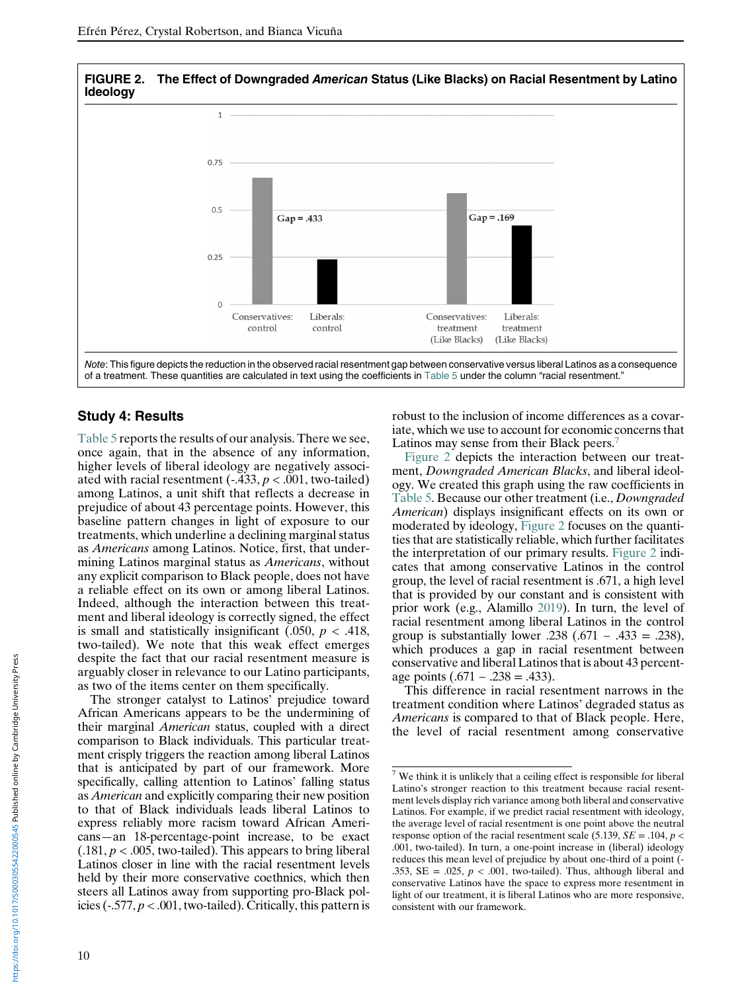<span id="page-9-1"></span>

# Study 4: Results

[Table 5](#page-8-0) reports the results of our analysis. There we see, once again, that in the absence of any information, higher levels of liberal ideology are negatively associated with racial resentment  $(-.433, p < .001,$  two-tailed) among Latinos, a unit shift that reflects a decrease in prejudice of about 43 percentage points. However, this baseline pattern changes in light of exposure to our treatments, which underline a declining marginal status as Americans among Latinos. Notice, first, that undermining Latinos marginal status as *Americans*, without any explicit comparison to Black people, does not have a reliable effect on its own or among liberal Latinos. Indeed, although the interaction between this treatment and liberal ideology is correctly signed, the effect is small and statistically insignificant  $(.050, p < .418,$ two-tailed). We note that this weak effect emerges despite the fact that our racial resentment measure is arguably closer in relevance to our Latino participants, as two of the items center on them specifically.

<span id="page-9-0"></span>The stronger catalyst to Latinos' prejudice toward African Americans appears to be the undermining of their marginal American status, coupled with a direct comparison to Black individuals. This particular treatment crisply triggers the reaction among liberal Latinos that is anticipated by part of our framework. More specifically, calling attention to Latinos' falling status as American and explicitly comparing their new position to that of Black individuals leads liberal Latinos to express reliably more racism toward African Americans—an 18-percentage-point increase, to be exact  $(0.181, p < 0.005,$  two-tailed). This appears to bring liberal Latinos closer in line with the racial resentment levels held by their more conservative coethnics, which then steers all Latinos away from supporting pro-Black policies ( $-577, p < .001$ , two-tailed). Critically, this pattern is

robust to the inclusion of income differences as a covariate, which we use to account for economic concerns that Latinos may sense from their Black peers.<sup>[7](#page-9-0)</sup>

[Figure 2](#page-9-1) depicts the interaction between our treatment, Downgraded American Blacks, and liberal ideology. We created this graph using the raw coefficients in [Table 5](#page-8-0). Because our other treatment (i.e., Downgraded American) displays insignificant effects on its own or moderated by ideology, [Figure 2](#page-9-1) focuses on the quantities that are statistically reliable, which further facilitates the interpretation of our primary results. [Figure 2](#page-9-1) indicates that among conservative Latinos in the control group, the level of racial resentment is .671, a high level that is provided by our constant and is consistent with prior work (e.g., Alamillo [2019\)](#page-13-5). In turn, the level of racial resentment among liberal Latinos in the control group is substantially lower  $.238$  (.671 – .433 = .238), which produces a gap in racial resentment between conservative and liberal Latinos that is about 43 percentage points  $(.671 - .238 = .433)$ .

This difference in racial resentment narrows in the treatment condition where Latinos' degraded status as Americans is compared to that of Black people. Here, the level of racial resentment among conservative

 $7$  We think it is unlikely that a ceiling effect is responsible for liberal Latino's stronger reaction to this treatment because racial resentment levels display rich variance among both liberal and conservative Latinos. For example, if we predict racial resentment with ideology, the average level of racial resentment is one point above the neutral response option of the racial resentment scale (5.139,  $SE = .104$ ,  $p <$ .001, two-tailed). In turn, a one-point increase in (liberal) ideology reduces this mean level of prejudice by about one-third of a point (- .353, SE = .025,  $p < .001$ , two-tailed). Thus, although liberal and conservative Latinos have the space to express more resentment in light of our treatment, it is liberal Latinos who are more responsive, consistent with our framework.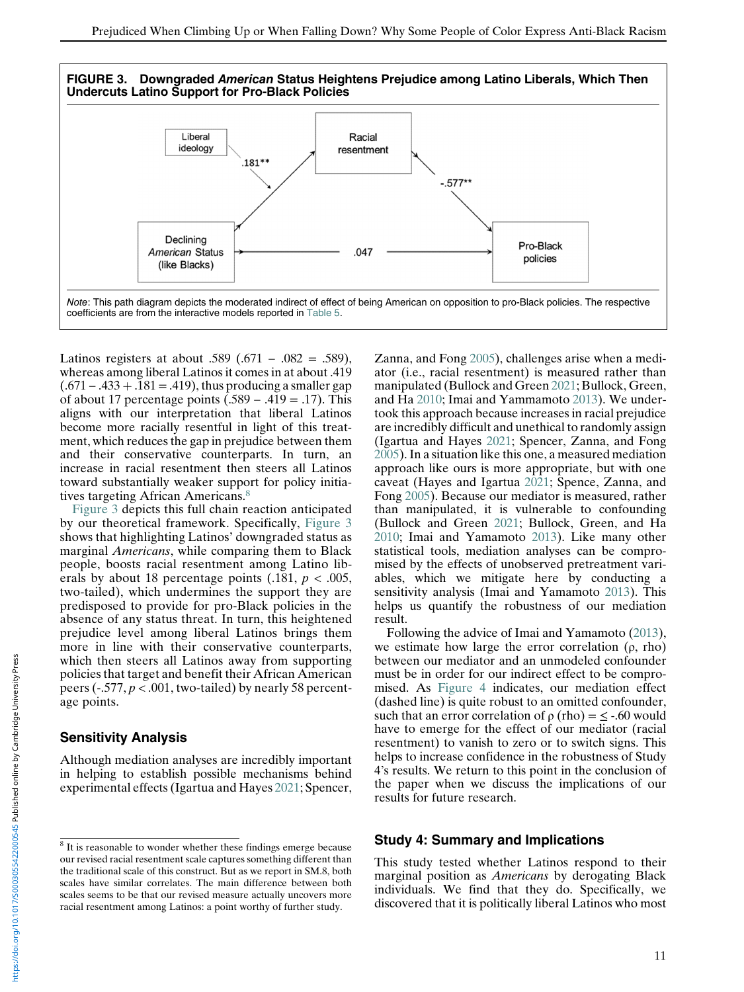<span id="page-10-1"></span>

Latinos registers at about .589 (.671 – .082 = .589), whereas among liberal Latinos it comes in at about .419  $(.671 - .433 + .181 = .419)$ , thus producing a smaller gap of about 17 percentage points  $(.589 - .419 = .17)$ . This aligns with our interpretation that liberal Latinos become more racially resentful in light of this treatment, which reduces the gap in prejudice between them and their conservative counterparts. In turn, an increase in racial resentment then steers all Latinos toward substantially weaker support for policy initia-tives targeting African Americans.<sup>[8](#page-10-0)</sup>

[Figure 3](#page-10-1) depicts this full chain reaction anticipated by our theoretical framework. Specifically, [Figure 3](#page-10-1) shows that highlighting Latinos' downgraded status as marginal Americans, while comparing them to Black people, boosts racial resentment among Latino liberals by about 18 percentage points  $(.181, p < .005,$ two-tailed), which undermines the support they are predisposed to provide for pro-Black policies in the absence of any status threat. In turn, this heightened prejudice level among liberal Latinos brings them more in line with their conservative counterparts, which then steers all Latinos away from supporting policies that target and benefit their African American peers ( $-0.577$ ,  $p < 0.001$ , two-tailed) by nearly 58 percentage points.

#### Sensitivity Analysis

Although mediation analyses are incredibly important in helping to establish possible mechanisms behind experimental effects (Igartua and Hayes [2021](#page-14-29); Spencer, Zanna, and Fong [2005](#page-15-23)), challenges arise when a mediator (i.e., racial resentment) is measured rather than manipulated (Bullock and Green [2021](#page-13-6); Bullock, Green, and Ha [2010;](#page-13-7) Imai and Yammamoto [2013](#page-14-13)). We undertook this approach because increases in racial prejudice are incredibly difficult and unethical to randomly assign (Igartua and Hayes [2021](#page-14-29); Spencer, Zanna, and Fong [2005\)](#page-15-23). In a situation like this one, a measured mediation approach like ours is more appropriate, but with one caveat (Hayes and Igartua [2021;](#page-14-34) Spence, Zanna, and Fong [2005](#page-15-23)). Because our mediator is measured, rather than manipulated, it is vulnerable to confounding (Bullock and Green [2021](#page-13-6); Bullock, Green, and Ha [2010;](#page-13-7) Imai and Yamamoto [2013\)](#page-14-13). Like many other statistical tools, mediation analyses can be compromised by the effects of unobserved pretreatment variables, which we mitigate here by conducting a sensitivity analysis (Imai and Yamamoto [2013\)](#page-14-13). This helps us quantify the robustness of our mediation result.

Following the advice of Imai and Yamamoto ([2013\)](#page-14-13), we estimate how large the error correlation  $(\rho, rho)$ between our mediator and an unmodeled confounder must be in order for our indirect effect to be compromised. As [Figure 4](#page-11-0) indicates, our mediation effect (dashed line) is quite robust to an omitted confounder, such that an error correlation of  $\rho$  (rho) =  $\leq$  -.60 would have to emerge for the effect of our mediator (racial resentment) to vanish to zero or to switch signs. This helps to increase confidence in the robustness of Study 4's results. We return to this point in the conclusion of the paper when we discuss the implications of our results for future research.

#### Study 4: Summary and Implications

This study tested whether Latinos respond to their marginal position as Americans by derogating Black individuals. We find that they do. Specifically, we discovered that it is politically liberal Latinos who most

<span id="page-10-0"></span><sup>8</sup> It is reasonable to wonder whether these findings emerge because our revised racial resentment scale captures something different than the traditional scale of this construct. But as we report in SM.8, both scales have similar correlates. The main difference between both scales seems to be that our revised measure actually uncovers more racial resentment among Latinos: a point worthy of further study.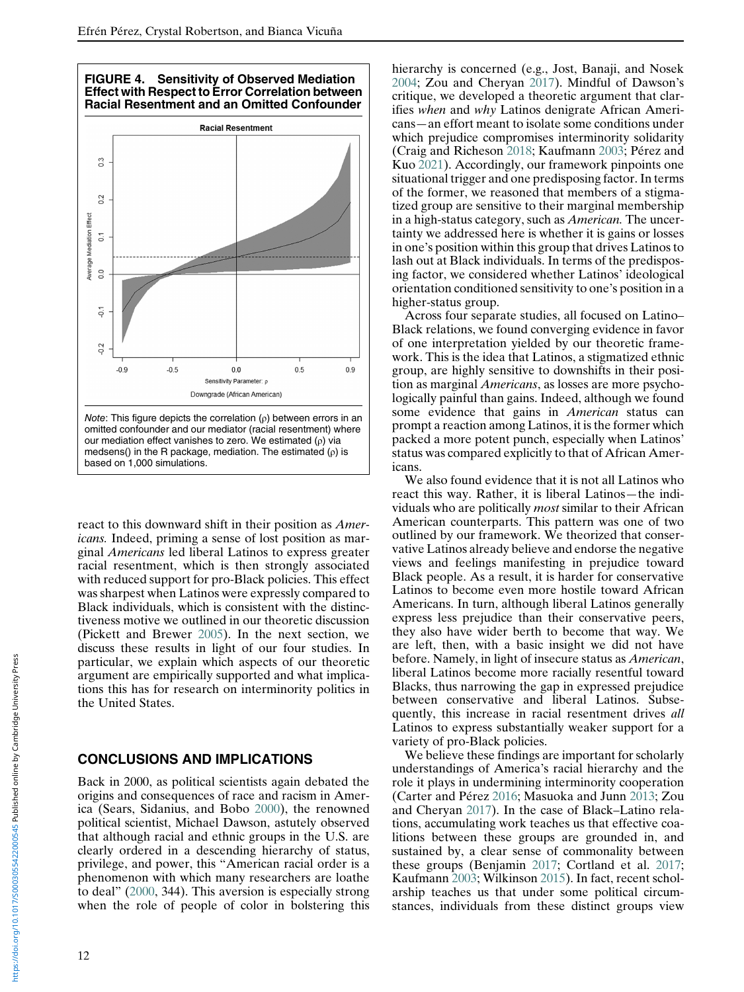<span id="page-11-0"></span>

react to this downward shift in their position as *Amer*icans. Indeed, priming a sense of lost position as marginal Americans led liberal Latinos to express greater racial resentment, which is then strongly associated with reduced support for pro-Black policies. This effect was sharpest when Latinos were expressly compared to Black individuals, which is consistent with the distinctiveness motive we outlined in our theoretic discussion (Pickett and Brewer [2005](#page-15-10)). In the next section, we discuss these results in light of our four studies. In particular, we explain which aspects of our theoretic argument are empirically supported and what implications this has for research on interminority politics in the United States.

# CONCLUSIONS AND IMPLICATIONS

Back in 2000, as political scientists again debated the origins and consequences of race and racism in America (Sears, Sidanius, and Bobo [2000](#page-15-24)), the renowned political scientist, Michael Dawson, astutely observed that although racial and ethnic groups in the U.S. are clearly ordered in a descending hierarchy of status, privilege, and power, this "American racial order is a phenomenon with which many researchers are loathe to deal" ([2000,](#page-14-35) 344). This aversion is especially strong when the role of people of color in bolstering this

hierarchy is concerned (e.g., Jost, Banaji, and Nosek [2004;](#page-14-3) Zou and Cheryan [2017\)](#page-15-5). Mindful of Dawson's critique, we developed a theoretic argument that clarifies when and why Latinos denigrate African Americans—an effort meant to isolate some conditions under which prejudice compromises interminority solidarity (Craig and Richeson [2018;](#page-14-9) Kaufmann [2003](#page-14-36); Pérez and Kuo [2021](#page-15-4)). Accordingly, our framework pinpoints one situational trigger and one predisposing factor. In terms of the former, we reasoned that members of a stigmatized group are sensitive to their marginal membership in a high-status category, such as *American*. The uncertainty we addressed here is whether it is gains or losses in one's position within this group that drives Latinos to lash out at Black individuals. In terms of the predisposing factor, we considered whether Latinos' ideological orientation conditioned sensitivity to one's position in a higher-status group.

Across four separate studies, all focused on Latino– Black relations, we found converging evidence in favor of one interpretation yielded by our theoretic framework. This is the idea that Latinos, a stigmatized ethnic group, are highly sensitive to downshifts in their position as marginal Americans, as losses are more psychologically painful than gains. Indeed, although we found some evidence that gains in *American* status can prompt a reaction among Latinos, it is the former which packed a more potent punch, especially when Latinos' status was compared explicitly to that of African Americans.

We also found evidence that it is not all Latinos who react this way. Rather, it is liberal Latinos—the individuals who are politically *most* similar to their African American counterparts. This pattern was one of two outlined by our framework. We theorized that conservative Latinos already believe and endorse the negative views and feelings manifesting in prejudice toward Black people. As a result, it is harder for conservative Latinos to become even more hostile toward African Americans. In turn, although liberal Latinos generally express less prejudice than their conservative peers, they also have wider berth to become that way. We are left, then, with a basic insight we did not have before. Namely, in light of insecure status as American, liberal Latinos become more racially resentful toward Blacks, thus narrowing the gap in expressed prejudice between conservative and liberal Latinos. Subsequently, this increase in racial resentment drives all Latinos to express substantially weaker support for a variety of pro-Black policies.

We believe these findings are important for scholarly understandings of America's racial hierarchy and the role it plays in undermining interminority cooperation (Carter and Pérez [2016](#page-14-16); Masuoka and Junn [2013;](#page-14-1) Zou and Cheryan [2017](#page-15-5)). In the case of Black–Latino relations, accumulating work teaches us that effective coalitions between these groups are grounded in, and sustained by, a clear sense of commonality between these groups (Benjamin [2017;](#page-13-3) Cortland et al. [2017;](#page-14-37) Kaufmann [2003;](#page-14-36) Wilkinson [2015](#page-15-8)). In fact, recent scholarship teaches us that under some political circumstances, individuals from these distinct groups view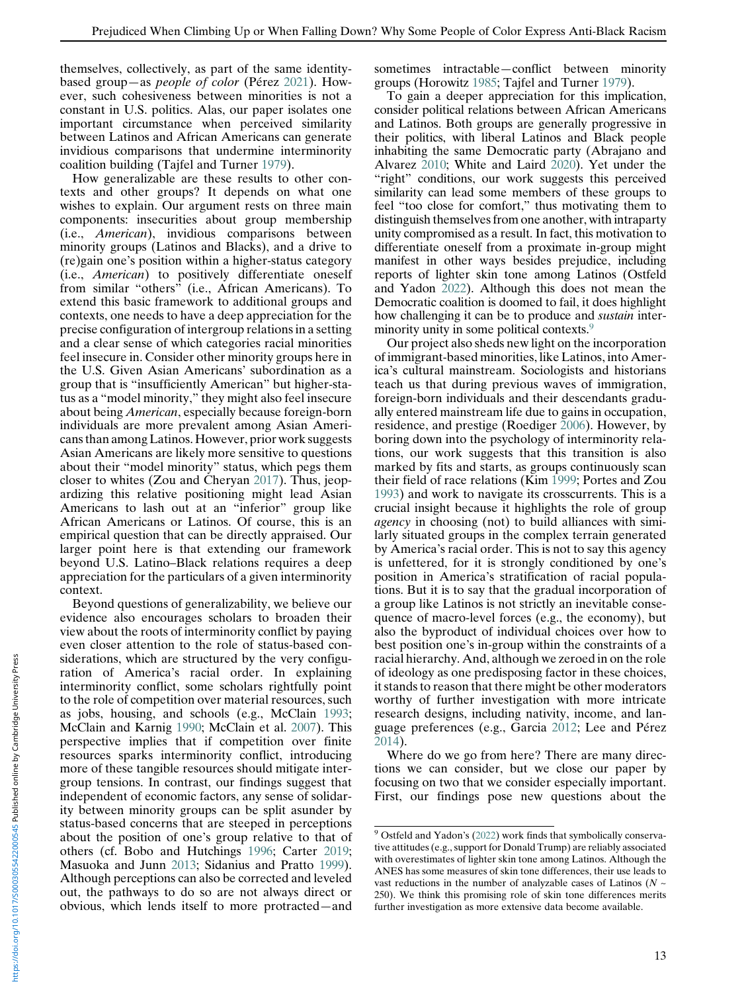themselves, collectively, as part of the same identitybased group—as people of color (Pérez [2021\)](#page-15-2). However, such cohesiveness between minorities is not a constant in U.S. politics. Alas, our paper isolates one important circumstance when perceived similarity between Latinos and African Americans can generate invidious comparisons that undermine interminority coalition building (Tajfel and Turner [1979\)](#page-15-1).

How generalizable are these results to other contexts and other groups? It depends on what one wishes to explain. Our argument rests on three main components: insecurities about group membership (i.e., American), invidious comparisons between minority groups (Latinos and Blacks), and a drive to (re)gain one's position within a higher-status category (i.e., American) to positively differentiate oneself from similar "others" (i.e., African Americans). To extend this basic framework to additional groups and contexts, one needs to have a deep appreciation for the precise configuration of intergroup relations in a setting and a clear sense of which categories racial minorities feel insecure in. Consider other minority groups here in the U.S. Given Asian Americans' subordination as a group that is "insufficiently American" but higher-status as a "model minority," they might also feel insecure about being American, especially because foreign-born individuals are more prevalent among Asian Americans than among Latinos. However, prior work suggests Asian Americans are likely more sensitive to questions about their "model minority" status, which pegs them closer to whites (Zou and Cheryan [2017\)](#page-15-5). Thus, jeopardizing this relative positioning might lead Asian Americans to lash out at an "inferior" group like African Americans or Latinos. Of course, this is an empirical question that can be directly appraised. Our larger point here is that extending our framework beyond U.S. Latino–Black relations requires a deep appreciation for the particulars of a given interminority context.

<span id="page-12-0"></span>Beyond questions of generalizability, we believe our evidence also encourages scholars to broaden their view about the roots of interminority conflict by paying even closer attention to the role of status-based considerations, which are structured by the very configuration of America's racial order. In explaining interminority conflict, some scholars rightfully point to the role of competition over material resources, such as jobs, housing, and schools (e.g., McClain [1993](#page-14-14); McClain and Karnig [1990;](#page-14-15) McClain et al. [2007](#page-14-17)). This perspective implies that if competition over finite resources sparks interminority conflict, introducing more of these tangible resources should mitigate intergroup tensions. In contrast, our findings suggest that independent of economic factors, any sense of solidarity between minority groups can be split asunder by status-based concerns that are steeped in perceptions about the position of one's group relative to that of others (cf. Bobo and Hutchings [1996;](#page-13-0) Carter [2019](#page-14-8); Masuoka and Junn [2013;](#page-14-1) Sidanius and Pratto [1999\)](#page-15-0). Although perceptions can also be corrected and leveled out, the pathways to do so are not always direct or obvious, which lends itself to more protracted—and sometimes intractable—conflict between minority groups (Horowitz [1985;](#page-14-38) Tajfel and Turner [1979](#page-15-1)).

To gain a deeper appreciation for this implication, consider political relations between African Americans and Latinos. Both groups are generally progressive in their politics, with liberal Latinos and Black people inhabiting the same Democratic party (Abrajano and Alvarez [2010](#page-13-8); White and Laird [2020](#page-15-25)). Yet under the "right" conditions, our work suggests this perceived similarity can lead some members of these groups to feel "too close for comfort," thus motivating them to distinguish themselves from one another, with intraparty unity compromised as a result. In fact, this motivation to differentiate oneself from a proximate in-group might manifest in other ways besides prejudice, including reports of lighter skin tone among Latinos (Ostfeld and Yadon [2022](#page-15-24)). Although this does not mean the Democratic coalition is doomed to fail, it does highlight how challenging it can be to produce and *sustain* interminority unity in some political contexts.<sup>9</sup>

Our project also sheds new light on the incorporation of immigrant-based minorities, like Latinos, into America's cultural mainstream. Sociologists and historians teach us that during previous waves of immigration, foreign-born individuals and their descendants gradually entered mainstream life due to gains in occupation, residence, and prestige (Roediger [2006](#page-15-6)). However, by boring down into the psychology of interminority relations, our work suggests that this transition is also marked by fits and starts, as groups continuously scan their field of race relations (Kim [1999](#page-14-5); Portes and Zou [1993\)](#page-15-15) and work to navigate its crosscurrents. This is a crucial insight because it highlights the role of group agency in choosing (not) to build alliances with similarly situated groups in the complex terrain generated by America's racial order. This is not to say this agency is unfettered, for it is strongly conditioned by one's position in America's stratification of racial populations. But it is to say that the gradual incorporation of a group like Latinos is not strictly an inevitable consequence of macro-level forces (e.g., the economy), but also the byproduct of individual choices over how to best position one's in-group within the constraints of a racial hierarchy. And, although we zeroed in on the role of ideology as one predisposing factor in these choices, it stands to reason that there might be other moderators worthy of further investigation with more intricate research designs, including nativity, income, and language preferences (e.g., Garcia [2012;](#page-14-21) Lee and Pérez [2014\)](#page-14-39).

Where do we go from here? There are many directions we can consider, but we close our paper by focusing on two that we consider especially important. First, our findings pose new questions about the

<sup>&</sup>lt;sup>9</sup> Ostfeld and Yadon's ([2022\)](#page-15-24) work finds that symbolically conservative attitudes (e.g., support for Donald Trump) are reliably associated with overestimates of lighter skin tone among Latinos. Although the ANES has some measures of skin tone differences, their use leads to vast reductions in the number of analyzable cases of Latinos ( $N \sim$ 250). We think this promising role of skin tone differences merits further investigation as more extensive data become available.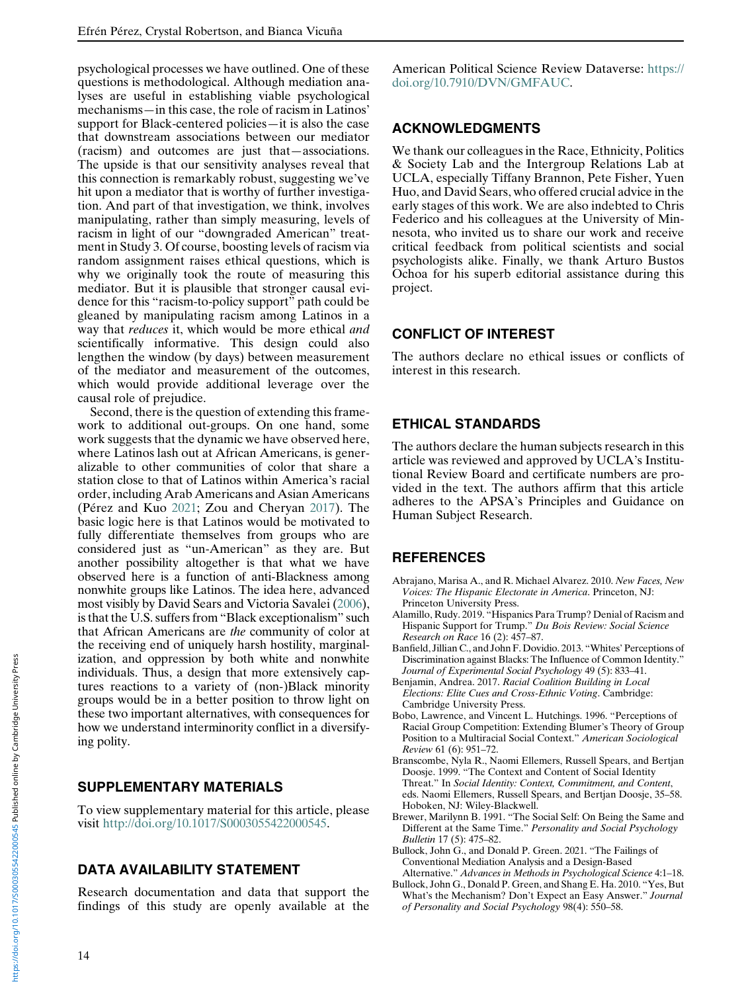psychological processes we have outlined. One of these questions is methodological. Although mediation analyses are useful in establishing viable psychological mechanisms—in this case, the role of racism in Latinos' support for Black-centered policies—it is also the case that downstream associations between our mediator (racism) and outcomes are just that—associations. The upside is that our sensitivity analyses reveal that this connection is remarkably robust, suggesting we've hit upon a mediator that is worthy of further investigation. And part of that investigation, we think, involves manipulating, rather than simply measuring, levels of racism in light of our "downgraded American" treatment in Study 3. Of course, boosting levels of racism via random assignment raises ethical questions, which is why we originally took the route of measuring this mediator. But it is plausible that stronger causal evidence for this "racism-to-policy support" path could be gleaned by manipulating racism among Latinos in a way that reduces it, which would be more ethical and scientifically informative. This design could also lengthen the window (by days) between measurement of the mediator and measurement of the outcomes, which would provide additional leverage over the causal role of prejudice.

<span id="page-13-8"></span><span id="page-13-5"></span>Second, there is the question of extending this framework to additional out-groups. On one hand, some work suggests that the dynamic we have observed here, where Latinos lash out at African Americans, is generalizable to other communities of color that share a station close to that of Latinos within America's racial order, including Arab Americans and Asian Americans (Pérez and Kuo [2021](#page-15-4); Zou and Cheryan [2017](#page-15-5)). The basic logic here is that Latinos would be motivated to fully differentiate themselves from groups who are considered just as "un-American" as they are. But another possibility altogether is that what we have observed here is a function of anti-Blackness among nonwhite groups like Latinos. The idea here, advanced most visibly by David Sears and Victoria Savalei [\(2006\)](#page-15-5), is that the U.S. suffers from "Black exceptionalism" such that African Americans are the community of color at the receiving end of uniquely harsh hostility, marginalization, and oppression by both white and nonwhite individuals. Thus, a design that more extensively captures reactions to a variety of (non-)Black minority groups would be in a better position to throw light on these two important alternatives, with consequences for how we understand interminority conflict in a diversifying polity.

# <span id="page-13-4"></span><span id="page-13-3"></span><span id="page-13-2"></span><span id="page-13-1"></span><span id="page-13-0"></span>SUPPLEMENTARY MATERIALS

<span id="page-13-6"></span>To view supplementary material for this article, please visit [http://doi.org/10.1017/S0003055422000545.](http://doi.org/10.1017/S0003055422000545)

# <span id="page-13-7"></span>DATA AVAILABILITY STATEMENT

Research documentation and data that support the findings of this study are openly available at the American Political Science Review Dataverse: [https://](https://doi.org/10.7910/DVN/GMFAUC) [doi.org/10.7910/DVN/GMFAUC.](https://doi.org/10.7910/DVN/GMFAUC)

# ACKNOWLEDGMENTS

We thank our colleagues in the Race, Ethnicity, Politics & Society Lab and the Intergroup Relations Lab at UCLA, especially Tiffany Brannon, Pete Fisher, Yuen Huo, and David Sears, who offered crucial advice in the early stages of this work. We are also indebted to Chris Federico and his colleagues at the University of Minnesota, who invited us to share our work and receive critical feedback from political scientists and social psychologists alike. Finally, we thank Arturo Bustos Ochoa for his superb editorial assistance during this project.

# CONFLICT OF INTEREST

The authors declare no ethical issues or conflicts of interest in this research.

# ETHICAL STANDARDS

The authors declare the human subjects research in this article was reviewed and approved by UCLA's Institutional Review Board and certificate numbers are provided in the text. The authors affirm that this article adheres to the APSA's Principles and Guidance on Human Subject Research.

# REFERENCES

- Abrajano, Marisa A., and R. Michael Alvarez. 2010. New Faces, New Voices: The Hispanic Electorate in America. Princeton, NJ: Princeton University Press.
- Alamillo, Rudy. 2019. "Hispanics Para Trump? Denial of Racism and Hispanic Support for Trump." Du Bois Review: Social Science Research on Race 16 (2): 457–87.
- Banfield, Jillian C., and John F. Dovidio. 2013. "Whites' Perceptions of Discrimination against Blacks: The Influence of Common Identity." Journal of Experimental Social Psychology 49 (5): 833–41.
- Benjamin, Andrea. 2017. Racial Coalition Building in Local Elections: Elite Cues and Cross-Ethnic Voting. Cambridge: Cambridge University Press.
- Bobo, Lawrence, and Vincent L. Hutchings. 1996. "Perceptions of Racial Group Competition: Extending Blumer's Theory of Group Position to a Multiracial Social Context." American Sociological Review 61 (6): 951–72.
- Branscombe, Nyla R., Naomi Ellemers, Russell Spears, and Bertjan Doosje. 1999. "The Context and Content of Social Identity Threat." In Social Identity: Context, Commitment, and Content, eds. Naomi Ellemers, Russell Spears, and Bertjan Doosje, 35–58. Hoboken, NJ: Wiley-Blackwell.
- Brewer, Marilynn B. 1991. "The Social Self: On Being the Same and Different at the Same Time." Personality and Social Psychology Bulletin 17 (5): 475–82.
- Bullock, John G., and Donald P. Green. 2021. "The Failings of Conventional Mediation Analysis and a Design-Based Alternative." Advances in Methods in Psychological Science 4:1–18.
- Bullock, John G., Donald P. Green, and Shang E. Ha. 2010. "Yes, But What's the Mechanism? Don't Expect an Easy Answer." Journal of Personality and Social Psychology 98(4): 550–58.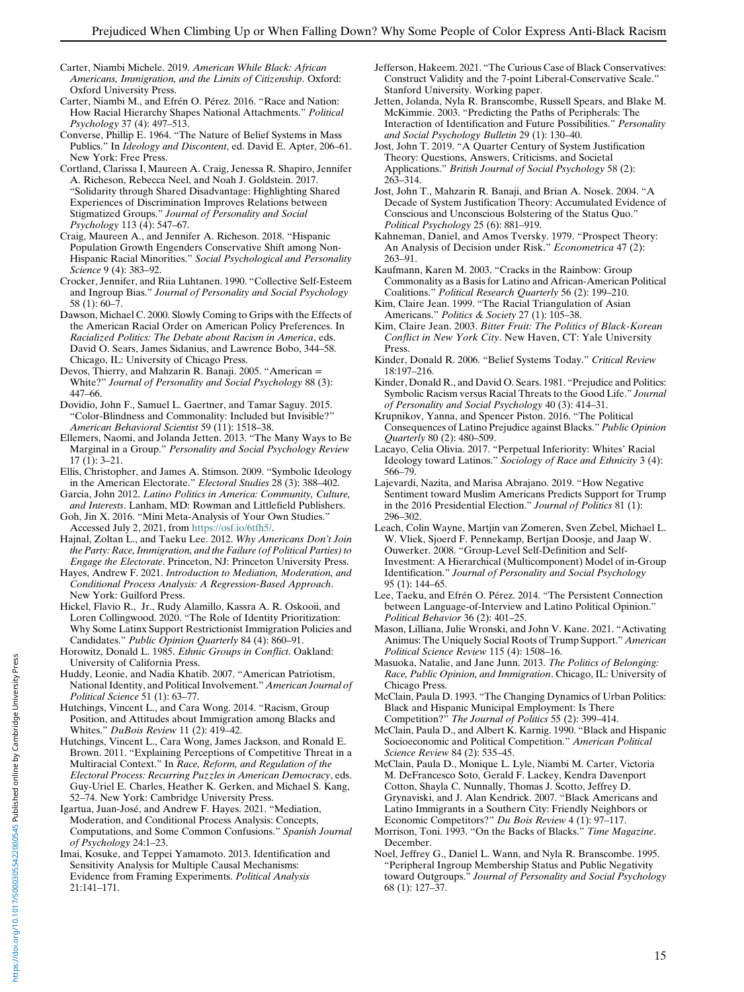- <span id="page-14-8"></span>Carter, Niambi Michele. 2019. American While Black: African Americans, Immigration, and the Limits of Citizenship. Oxford: Oxford University Press.
- <span id="page-14-16"></span>Carter, Niambi M., and Efrén O. Pérez. 2016. "Race and Nation: How Racial Hierarchy Shapes National Attachments." Political Psychology 37 (4): 497–513.
- <span id="page-14-25"></span><span id="page-14-2"></span>Converse, Phillip E. 1964. "The Nature of Belief Systems in Mass Publics." In Ideology and Discontent, ed. David E. Apter, 206–61. New York: Free Press.
- <span id="page-14-37"></span><span id="page-14-3"></span>Cortland, Clarissa I, Maureen A. Craig, Jenessa R. Shapiro, Jennifer A. Richeson, Rebecca Neel, and Noah J. Goldstein. 2017. "Solidarity through Shared Disadvantage: Highlighting Shared Experiences of Discrimination Improves Relations between Stigmatized Groups." Journal of Personality and Social Psychology 113 (4): 547–67.
- <span id="page-14-9"></span>Craig, Maureen A., and Jennifer A. Richeson. 2018. "Hispanic Population Growth Engenders Conservative Shift among Non-Hispanic Racial Minorities." Social Psychological and Personality Science 9 (4): 383–92.
- <span id="page-14-36"></span><span id="page-14-7"></span>Crocker, Jennifer, and Riia Luhtanen. 1990. "Collective Self-Esteem and Ingroup Bias." Journal of Personality and Social Psychology 58 (1): 60–7.
- <span id="page-14-35"></span><span id="page-14-19"></span><span id="page-14-5"></span>Dawson, Michael C. 2000. Slowly Coming to Grips with the Effects of the American Racial Order on American Policy Preferences. In Racialized Politics: The Debate about Racism in America, eds. David O. Sears, James Sidanius, and Lawrence Bobo, 344–58. Chicago, IL: University of Chicago Press.
- <span id="page-14-28"></span><span id="page-14-26"></span><span id="page-14-11"></span>Devos, Thierry, and Mahzarin R. Banaji. 2005. "American = White?" Journal of Personality and Social Psychology 88 (3): 447–66.
- <span id="page-14-20"></span><span id="page-14-6"></span>Dovidio, John F., Samuel L. Gaertner, and Tamar Saguy. 2015. "Color-Blindness and Commonality: Included but Invisible?" American Behavioral Scientist 59 (11): 1518–38.
- <span id="page-14-18"></span><span id="page-14-10"></span>Ellemers, Naomi, and Jolanda Jetten. 2013. "The Many Ways to Be Marginal in a Group." Personality and Social Psychology Review 17 (1): 3–21.
- <span id="page-14-30"></span><span id="page-14-23"></span>Ellis, Christopher, and James A. Stimson. 2009. "Symbolic Ideology in the American Electorate." Electoral Studies 28 (3): 388–402.
- <span id="page-14-33"></span><span id="page-14-21"></span>Garcia, John 2012. Latino Politics in America: Community, Culture, and Interests. Lanham, MD: Rowman and Littlefield Publishers. Goh, Jin X. 2016. "Mini Meta-Analysis of Your Own Studies."
- Accessed July 2, 2021, from [https://osf.io/6tfh5/.](https://osf.io/6tfh5/)
- <span id="page-14-27"></span><span id="page-14-22"></span>Hajnal, Zoltan L., and Taeku Lee. 2012. Why Americans Don't Join the Party: Race, Immigration, and the Failure (of Political Parties) to Engage the Electorate. Princeton, NJ: Princeton University Press.
- <span id="page-14-29"></span>Hayes, Andrew F. 2021. Introduction to Mediation, Moderation, and Conditional Process Analysis: A Regression-Based Approach. New York: Guilford Press.
- <span id="page-14-39"></span><span id="page-14-31"></span><span id="page-14-24"></span>Hickel, Flavio R., Jr., Rudy Alamillo, Kassra A. R. Oskooii, and Loren Collingwood. 2020. "The Role of Identity Prioritization: Why Some Latinx Support Restrictionist Immigration Policies and Candidates." Public Opinion Quarterly 84 (4): 860–91.
- <span id="page-14-38"></span><span id="page-14-1"></span>Horowitz, Donald L. 1985. Ethnic Groups in Conflict. Oakland: University of California Press.
- <span id="page-14-32"></span>Huddy, Leonie, and Nadia Khatib. 2007. "American Patriotism, National Identity, and Political Involvement." American Journal of Political Science 51 (1): 63–77.
- <span id="page-14-14"></span><span id="page-14-4"></span>Hutchings, Vincent L., and Cara Wong. 2014. "Racism, Group Position, and Attitudes about Immigration among Blacks and Whites." DuBois Review 11 (2): 419–42.
- <span id="page-14-17"></span><span id="page-14-15"></span><span id="page-14-12"></span>Hutchings, Vincent L., Cara Wong, James Jackson, and Ronald E. Brown. 2011. "Explaining Perceptions of Competitive Threat in a Multiracial Context." In Race, Reform, and Regulation of the Electoral Process: Recurring Puzzles in American Democracy, eds. Guy-Uriel E. Charles, Heather K. Gerken, and Michael S. Kang, 52–74. New York: Cambridge University Press.
- <span id="page-14-34"></span><span id="page-14-0"></span>Igartua, Juan-José, and Andrew F. Hayes. 2021. "Mediation, Moderation, and Conditional Process Analysis: Concepts, Computations, and Some Common Confusions." Spanish Journal of Psychology 24:1–23.
- <span id="page-14-13"></span>Imai, Kosuke, and Teppei Yamamoto. 2013. Identification and Sensitivity Analysis for Multiple Causal Mechanisms: Evidence from Framing Experiments. Political Analysis 21:141–171.
- Jefferson, Hakeem. 2021. "The Curious Case of Black Conservatives: Construct Validity and the 7-point Liberal-Conservative Scale." Stanford University. Working paper.
- Jetten, Jolanda, Nyla R. Branscombe, Russell Spears, and Blake M. McKimmie. 2003. "Predicting the Paths of Peripherals: The Interaction of Identification and Future Possibilities." Personality and Social Psychology Bulletin 29 (1): 130–40.
- Jost, John T. 2019. "A Quarter Century of System Justification Theory: Questions, Answers, Criticisms, and Societal Applications." British Journal of Social Psychology 58 (2): 263–314.
- Jost, John T., Mahzarin R. Banaji, and Brian A. Nosek. 2004. "A Decade of System Justification Theory: Accumulated Evidence of Conscious and Unconscious Bolstering of the Status Quo." Political Psychology 25 (6): 881–919.
- Kahneman, Daniel, and Amos Tversky. 1979. "Prospect Theory: An Analysis of Decision under Risk." Econometrica 47 (2): 263–91.
- Kaufmann, Karen M. 2003. "Cracks in the Rainbow: Group Commonality as a Basis for Latino and African-American Political Coalitions." Political Research Quarterly 56 (2): 199–210.
- Kim, Claire Jean. 1999. "The Racial Triangulation of Asian Americans." Politics & Society 27 (1): 105-38.
- Kim, Claire Jean. 2003. Bitter Fruit: The Politics of Black-Korean Conflict in New York City. New Haven, CT: Yale University Press.
- Kinder, Donald R. 2006. "Belief Systems Today." Critical Review 18:197–216.
- Kinder, Donald R., and David O. Sears. 1981. "Prejudice and Politics: Symbolic Racism versus Racial Threats to the Good Life." Journal of Personality and Social Psychology 40 (3): 414–31.
- Krupnikov, Yanna, and Spencer Piston. 2016. "The Political Consequences of Latino Prejudice against Blacks." Public Opinion Quarterly 80 (2): 480–509.
- Lacayo, Celia Olivia. 2017. "Perpetual Inferiority: Whites' Racial Ideology toward Latinos." Sociology of Race and Ethnicity 3 (4): 566–79.
- Lajevardi, Nazita, and Marisa Abrajano. 2019. "How Negative Sentiment toward Muslim Americans Predicts Support for Trump in the 2016 Presidential Election." Journal of Politics 81 (1): 296–302.
- Leach, Colin Wayne, Martjin van Zomeren, Sven Zebel, Michael L. W. Vliek, Sjoerd F. Pennekamp, Bertjan Doosje, and Jaap W. Ouwerker. 2008. "Group-Level Self-Definition and Self-Investment: A Hierarchical (Multicomponent) Model of in-Group Identification." Journal of Personality and Social Psychology 95 (1): 144–65.
- Lee, Taeku, and Efrén O. Pérez. 2014. "The Persistent Connection between Language-of-Interview and Latino Political Opinion." Political Behavior 36 (2): 401–25.
- Mason, Lilliana, Julie Wronski, and John V. Kane. 2021. "Activating Animus: The Uniquely Social Roots of Trump Support." American Political Science Review 115 (4): 1508–16.
- Masuoka, Natalie, and Jane Junn. 2013. The Politics of Belonging: Race, Public Opinion, and Immigration. Chicago, IL: University of Chicago Press.
- McClain, Paula D. 1993. "The Changing Dynamics of Urban Politics: Black and Hispanic Municipal Employment: Is There Competition?" The Journal of Politics 55 (2): 399–414.
- McClain, Paula D., and Albert K. Karnig. 1990. "Black and Hispanic Socioeconomic and Political Competition." American Political Science Review 84 (2): 535–45.
- McClain, Paula D., Monique L. Lyle, Niambi M. Carter, Victoria M. DeFrancesco Soto, Gerald F. Lackey, Kendra Davenport Cotton, Shayla C. Nunnally, Thomas J. Scotto, Jeffrey D. Grynaviski, and J. Alan Kendrick. 2007. "Black Americans and Latino Immigrants in a Southern City: Friendly Neighbors or Economic Competitors?" Du Bois Review 4 (1): 97–117.
- Morrison, Toni. 1993. "On the Backs of Blacks." Time Magazine. December.
- Noel, Jeffrey G., Daniel L. Wann, and Nyla R. Branscombe. 1995. "Peripheral Ingroup Membership Status and Public Negativity toward Outgroups." Journal of Personality and Social Psychology 68 (1): 127–37.